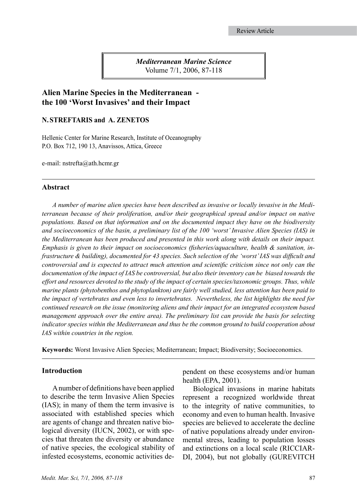*Mediterranean Marine Science* Volume 7/1, 2006, 87-118

# **Alien Marine Species in the Mediterranean the 100 'Worst Invasives' and their Impact**

### **N. STREFTARIS and A. ZENETOS**

Hellenic Center for Marine Research, Institute of Oceanography P.O. Box 712, 190 13, Anavissos, Attica, Greece

e-mail: nstrefta@ath.hcmr.gr

#### **Abstract**

*A number of marine alien species have been described as invasive or locally invasive in the Mediterranean because of their proliferation, and/or their geographical spread and/or impact on native populations. Based on that information and on the documented impact they have on the biodiversity and socioeconomics of the basin, a preliminary list of the 100 'worst' Invasive Alien Species (IAS) in the Mediterranean has been produced and presented in this work along with details on their impact. Emphasis is given to their impact on socioeconomics (fisheries/aquaculture, health & sanitation, infrastructure & building), documented for 43 species. Such selection of the 'worst' IAS was difficult and controversial and is expected to attract much attention and scientific criticism since not only can the documentation of the impact of IAS be controversial, but also their inventory can be biased towards the effort and resources devoted to the study of the impact of certain species/taxonomic groups. Thus, while marine plants (phytobenthos and phytoplankton) are fairly well studied, less attention has been paid to the impact of vertebrates and even less to invertebrates. Nevertheless, the list highlights the need for continued research on the issue (monitoring aliens and their impact for an integrated ecosystem based management approach over the entire area). The preliminary list can provide the basis for selecting indicator species within the Mediterranean and thus be the common ground to build cooperation about IAS within countries in the region.* 

**Keywords:** Worst Invasive Alien Species; Mediterranean; Impact; Biodiversity; Socioeconomics.

#### **Introduction**

A number of definitions have been applied to describe the term Invasive Alien Species (IAS); in many of them the term invasive is associated with established species which are agents of change and threaten native biological diversity (IUCN, 2002), or with species that threaten the diversity or abundance of native species, the ecological stability of infested ecosystems, economic activities dependent on these ecosystems and/or human health (EPA, 2001).

Biological invasions in marine habitats represent a recognized worldwide threat to the integrity of native communities, to economy and even to human health. Invasive species are believed to accelerate the decline of native populations already under environmental stress, leading to population losses and extinctions on a local scale (RICCIAR-DI, 2004), but not globally (GUREVITCH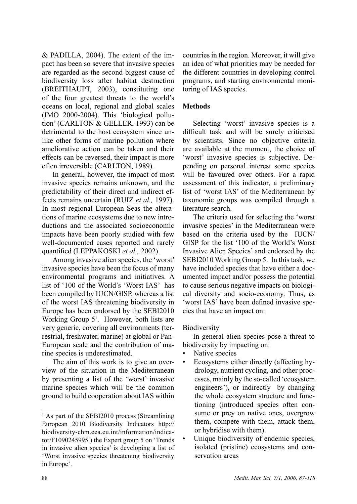& PADILLA, 2004). The extent of the impact has been so severe that invasive species are regarded as the second biggest cause of biodiversity loss after habitat destruction (BREITHAUPT, 2003), constituting one of the four greatest threats to the world's oceans on local, regional and global scales (IMO 2000-2004). This 'biological pollution' (CARLTON & GELLER, 1993) can be detrimental to the host ecosystem since unlike other forms of marine pollution where ameliorative action can be taken and their effects can be reversed, their impact is more often irreversible (CARLTON, 1989).

In general, however, the impact of most invasive species remains unknown, and the predictability of their direct and indirect effects remains uncertain (RUIZ *et al.,* 1997). In most regional European Seas the alterations of marine ecosystems due to new introductions and the associated socioeconomic impacts have been poorly studied with few well-documented cases reported and rarely quantified (LEPPAKOSKI *et al.,* 2002).

Among invasive alien species, the 'worst' invasive species have been the focus of many environmental programs and initiatives. A list of '100 of the World's 'Worst IAS' has been compiled by IUCN/GISP, whereas a list of the worst IAS threatening biodiversity in Europe has been endorsed by the SEBI2010 Working Group  $5<sup>1</sup>$ . However, both lists are very generic, covering all environments (terrestrial, freshwater, marine) at global or Pan-European scale and the contribution of marine species is underestimated.

The aim of this work is to give an overview of the situation in the Mediterranean by presenting a list of the 'worst' invasive marine species which will be the common ground to build cooperation about IAS within countries in the region. Moreover, it will give an idea of what priorities may be needed for the different countries in developing control programs, and starting environmental monitoring of IAS species.

# **Methods**

Selecting 'worst' invasive species is a difficult task and will be surely criticised by scientists. Since no objective criteria are available at the moment, the choice of 'worst' invasive species is subjective. Depending on personal interest some species will be favoured over others. For a rapid assessment of this indicator, a preliminary list of 'worst IAS' of the Mediterranean by taxonomic groups was compiled through a literature search.

The criteria used for selecting the 'worst invasive species' in the Mediterranean were based on the criteria used by the IUCN/ GISP for the list '100 of the World's Worst Invasive Alien Species' and endorsed by the SEBI2010 Working Group 5. In this task, we have included species that have either a documented impact and/or possess the potential to cause serious negative impacts on biological diversity and socio-economy. Thus, as 'worst IAS' have been defined invasive species that have an impact on:

# Biodiversity

In general alien species pose a threat to biodiversity by impacting on:

- Native species
- Ecosystems either directly (affecting hydrology, nutrient cycling, and other processes, mainly by the so-called 'ecosystem engineers'), or indirectly by changing the whole ecosystem structure and functioning (introduced species often consume or prey on native ones, overgrow them, compete with them, attack them, or hybridise with them).
- Unique biodiversity of endemic species, isolated (pristine) ecosystems and conservation areas

<sup>&</sup>lt;sup>1</sup> As part of the SEBI2010 process (Streamlining European 2010 Biodiversity Indicators http:// biodiversity-chm.eea.eu.int/information/indicator/F1090245995 ) the Expert group 5 on 'Trends in invasive alien species' is developing a list of 'Worst invasive species threatening biodiversity in Europe'.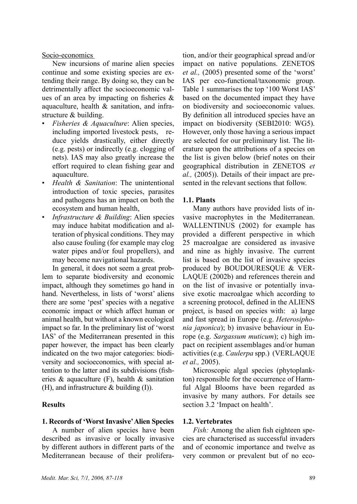#### Socio-economics

New incursions of marine alien species continue and some existing species are extending their range. By doing so, they can be detrimentally affect the socioeconomic values of an area by impacting on fisheries & aquaculture, health & sanitation, and infrastructure & building.

- *Fisheries & Aquaculture*: Alien species, including imported livestock pests, reduce yields drastically, either directly (e.g. pests) or indirectly (e.g. clogging of nets). IAS may also greatly increase the effort required to clean fishing gear and aquaculture.
- *Health & Sanitation*: The unintentional introduction of toxic species, parasites and pathogens has an impact on both the ecosystem and human health,
- *Infrastructure & Building*: Alien species may induce habitat modification and alteration of physical conditions. They may also cause fouling (for example may clog water pipes and/or foul propellers), and may become navigational hazards.

In general, it does not seem a great problem to separate biodiversity and economic impact, although they sometimes go hand in hand. Nevertheless, in lists of 'worst' aliens there are some 'pest' species with a negative economic impact or which affect human or animal health, but without a known ecological impact so far. In the preliminary list of 'worst IAS' of the Mediterranean presented in this paper however, the impact has been clearly indicated on the two major categories: biodiversity and socioeconomics, with special attention to the latter and its subdivisions (fisheries  $\&$  aquaculture (F), health  $\&$  sanitation (H), and infrastructure & building (I)).

### **Results**

#### **1. Records of 'Worst Invasive' Alien Species**

A number of alien species have been described as invasive or locally invasive by different authors in different parts of the Mediterranean because of their proliferation, and/or their geographical spread and/or impact on native populations. ZENETOS *et al.,* (2005) presented some of the 'worst' IAS per eco-functional/taxonomic group. Table 1 summarises the top '100 Worst IAS' based on the documented impact they have on biodiversity and socioeconomic values. By definition all introduced species have an impact on biodiversity (SEBI2010: WG5). However, only those having a serious impact are selected for our preliminary list. The literature upon the attributions of a species on the list is given below (brief notes on their geographical distribution in ZENETOS *et al.,* (2005)). Details of their impact are presented in the relevant sections that follow.

### **1.1. Plants**

Many authors have provided lists of invasive macrophytes in the Mediterranean. WALLENTINUS (2002) for example has provided a different perspective in which 25 macroalgae are considered as invasive and nine as highly invasive. The current list is based on the list of invasive species produced by BOUDOURESQUE & VER-LAQUE (2002b) and references therein and on the list of invasive or potentially invasive exotic macroalgae which according to a screening protocol, defined in the ALIENS project, is based on species with: a) large and fast spread in Europe (e.g. *Heterosiphonia japonica*); b) invasive behaviour in Europe (e.g. *Sargassum muticum*); c) high impact on recipient assemblages and/or human activities (e.g. *Caulerpa* spp.) (VERLAQUE *et al.,* 2005).

Microscopic algal species (phytoplankton) responsible for the occurrence of Harmful Algal Blooms have been regarded as invasive by many authors. For details see section 3.2 'Impact on health'.

#### **1.2. Vertebrates**

*Fish:* Among the alien fish eighteen species are characterised as successful invaders and of economic importance and twelve as very common or prevalent but of no eco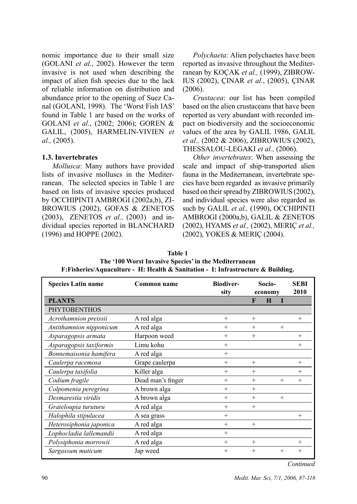nomic importance due to their small size (GOLANI *et al.*, 2002). However the term invasive is not used when describing the impact of alien fish species due to the lack of reliable information on distribution and abundance prior to the opening of Suez Canal (GOLANI, 1998). The 'Worst Fish IAS' found in Table 1 are based on the works of GOLANI *et al.*, (2002; 2006); GOREN & GALIL, (2005), HARMELIN-VIVIEN *et al.,* (2005).

### **1.3. Invertebrates**

*Mollusca*: Many authors have provided lists of invasive molluscs in the Mediterranean. The selected species in Table 1 are based on lists of invasive species produced by OCCHIPINTI AMBROGI (2002a,b), ZI-BROWIUS (2002), GOFAS & ZENETOS (2003), ZENETOS *et al.,* (2003) and individual species reported in BLANCHARD (1996) and HOPPE (2002).

*Polychaeta:* Alien polychaetes have been reported as invasive throughout the Mediterranean by KOÇAK *et al.,* (1999), ZIBROW-IUS (2002), ÇINAR *et al.*, (2005), ÇINAR (2006).

*Crustacea*: our list has been compiled based on the alien crustaceans that have been reported as very abundant with recorded impact on biodiversity and the socioeconomic values of the area by GALIL 1986, GALIL *et al.,* (2002 & 2006), ZIBROWIUS (2002), THESSALOU-LEGAKI *et al.,* (2006).

*Other invertebrates*: When assessing the scale and impact of ship-transported alien fauna in the Mediterranean, invertebrate species have been regarded as invasive primarily based on their spread by ZIBROWIUS (2002), and individual species were also regarded as such by GALIL *et al.,* (1990), OCCHIPINTI AMBROGI (2000a,b), GALIL & ZENETOS (2002), HYAMS *et al.,* (2002), MERIÇ *et al.,* (2002), YOKES & MERIÇ (2004).

| P. PISHETICS/Aquaculture - TI, Ticalul & Saliitation - T, Thill astructure & Dunuing, |                   |                          |                   |         |                     |  |  |
|---------------------------------------------------------------------------------------|-------------------|--------------------------|-------------------|---------|---------------------|--|--|
| <b>Species Latin name</b>                                                             | Common name       | <b>Biodiver-</b><br>sity | Socio-<br>economy |         | <b>SEBI</b><br>2010 |  |  |
| <b>PLANTS</b>                                                                         |                   |                          | F                 | $\bf H$ |                     |  |  |
| <b>PHYTOBENTHOS</b>                                                                   |                   |                          |                   |         |                     |  |  |
| Acrothamnion preissii                                                                 | A red alga        | $^{+}$                   | $^{+}$            |         | $^{+}$              |  |  |
| Antithamnion nipponicum                                                               | A red alga        | $^{+}$                   | $^{+}$            | $^{+}$  |                     |  |  |
| Asparagopsis armata                                                                   | Harpoon weed      | $^{+}$                   | $^{+}$            |         | $^{+}$              |  |  |
| Asparagopsis taxiformis                                                               | Limu kohu         | $^{+}$                   |                   |         | $^{+}$              |  |  |
| Bonnemaisonia hamifera                                                                | A red alga        | $^{+}$                   |                   |         |                     |  |  |
| Caulerpa racemosa                                                                     | Grape caulerpa    | $^{+}$                   | $^{+}$            |         | $^{+}$              |  |  |
| Caulerpa taxifolia                                                                    | Killer alga       | $^{+}$                   | $^{+}$            |         | $^{+}$              |  |  |
| Codium fragile                                                                        | Dead man's finger | $^{+}$                   | $^{+}$            | $+$     | $^{+}$              |  |  |
| Colpomenia peregrina                                                                  | A brown alga      | $^{+}$                   | $^{+}$            |         |                     |  |  |
| Desmarestia viridis                                                                   | A brown alga      | $^{+}$                   | $^{+}$            | $^{+}$  |                     |  |  |
| Grateloupia turuturu                                                                  | A red alga        | $^{+}$                   | $^{+}$            |         |                     |  |  |
| Halophila stipulacea                                                                  | A sea grass       | $^{+}$                   |                   |         | $^{+}$              |  |  |
| Heterosiphonia japonica                                                               | A red alga        | $^{+}$                   | $^{+}$            |         |                     |  |  |
| Lophocladia lallemandii                                                               | A red alga        | $^{+}$                   |                   |         |                     |  |  |
| Polysiphonia morrowii                                                                 | A red alga        | $^{+}$                   | $^{+}$            |         | $^{+}$              |  |  |
| Sargassum muticum                                                                     | Jap weed          | $^{+}$                   | $^{+}$            | $+$     | $^{+}$              |  |  |

**Table 1 The '100 Worst Invasive Species' in the Mediterranean F:Fisheries/Aquaculture - H: Health & Sanitation - I: Infrastructure & Building.**

*Continued*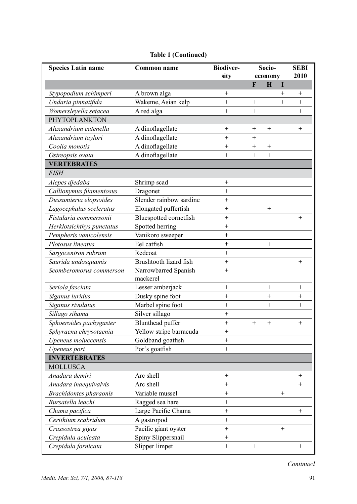| <b>Species Latin name</b> | Common name             | <b>Biodiver-</b><br>sity | Socio-<br>economy |                 |        | <b>SEBI</b><br>2010 |
|---------------------------|-------------------------|--------------------------|-------------------|-----------------|--------|---------------------|
|                           |                         |                          | F                 | H               | I      |                     |
| Stypopodium schimperi     | A brown alga            | $^{+}$                   |                   |                 | $^{+}$ | $+$                 |
| Undaria pinnatifida       | Wakeme, Asian kelp      | $^{+}$                   | $^{+}$            |                 | $^{+}$ | $\ddot{}$           |
| Womersleyella setacea     | A red alga              | $^{+}$                   | $^{+}$            |                 |        | $^{+}$              |
| PHYTOPLANKTON             |                         |                          |                   |                 |        |                     |
| Alexandrium catenella     | A dinoflagellate        | $^{+}$                   | $^{+}$            | $\! + \!\!\!\!$ |        | $^{+}$              |
| Alexandrium taylori       | A dinoflagellate        | $^{+}$                   | $^{+}$            |                 |        |                     |
| Coolia monotis            | A dinoflagellate        | $^{+}$                   | $^{+}$            | $\! + \!\!\!\!$ |        |                     |
| Ostreopsis ovata          | A dinoflagellate        | $^{+}$                   | $^{+}$            | $+$             |        |                     |
| <b>VERTEBRATES</b>        |                         |                          |                   |                 |        |                     |
| <b>FISH</b>               |                         |                          |                   |                 |        |                     |
| Alepes djedaba            | Shrimp scad             | $^{+}$                   |                   |                 |        |                     |
| Callionymus filamentosus  | Dragonet                | $^{+}$                   |                   |                 |        |                     |
| Dussumieria elopsoides    | Slender rainbow sardine | $^{+}$                   |                   |                 |        |                     |
| Lagocephalus sceleratus   | Elongated pufferfish    | $^{+}$                   |                   |                 |        |                     |
| Fistularia commersonii    | Bluespotted cornetfish  | $^{+}$                   |                   |                 |        | $\! + \!\!\!\!$     |
| Herklotsichthys punctatus | Spotted herring         | $^{+}$                   |                   |                 |        |                     |
| Pempheris vanicolensis    | Vanikoro sweeper        | $^+$                     |                   |                 |        |                     |
| Plotosus lineatus         | Eel catfish             | $^+$                     |                   | $\! + \!\!\!\!$ |        |                     |
| Sargocentron rubrum       | Redcoat                 | $^{+}$                   |                   |                 |        |                     |
| Saurida undosquamis       | Brushtooth lizard fish  | $^{+}$                   |                   |                 |        | $^{+}$              |
| Scomberomorus commerson   | Narrowbarred Spanish    | $\ddot{}$                |                   |                 |        |                     |
|                           | mackerel                |                          |                   |                 |        |                     |
| Seriola fasciata          | Lesser amberjack        | $^{+}$                   |                   |                 |        | $\! + \!\!\!\!$     |
| Siganus luridus           | Dusky spine foot        | $^{+}$                   |                   | $^{+}$          |        | $\! + \!\!\!\!$     |
| Siganus rivulatus         | Marbel spine foot       | $^{+}$                   |                   | $^{+}$          |        | $^{+}$              |
| Sillago sihama            | Silver sillago          | $^{+}$                   |                   |                 |        |                     |
| Sphoeroides pachygaster   | <b>Blunthead</b> puffer | $^{+}$                   | $^{+}$            | $+$             |        | $^{+}$              |
| Sphyraena chrysotaenia    | Yellow stripe barracuda | $^{+}$                   |                   |                 |        |                     |
| Upeneus moluccensis       | Goldband goatfish       | $^{+}$                   |                   |                 |        |                     |
| Upeneus pori              | Por's goatfish          | $^{+}$                   |                   |                 |        |                     |
| <b>INVERTEBRATES</b>      |                         |                          |                   |                 |        |                     |
| <b>MOLLUSCA</b>           |                         |                          |                   |                 |        |                     |
| Anadara demiri            | Arc shell               | $^{+}$                   |                   |                 |        | $^{+}$              |
| Anadara inaequivalvis     | Arc shell               | $^{+}$                   |                   |                 |        | $^{+}$              |
| Brachidontes pharaonis    | Variable mussel         | $^+$                     |                   |                 | $^+$   |                     |
| Bursatella leachi         | Ragged sea hare         | $^{+}$                   |                   |                 |        |                     |
| Chama pacifica            | Large Pacific Chama     | $\! + \!$                |                   |                 |        | $^{+}$              |
| Cerithium scabridum       | A gastropod             | $^+$                     |                   |                 |        |                     |
| Crassostrea gigas         | Pacific giant oyster    | $\boldsymbol{+}$         |                   |                 |        |                     |
| Crepidula aculeata        | Spiny Slippersnail      | $\boldsymbol{+}$         |                   |                 |        |                     |
| Crepidula fornicata       | Slipper limpet          | $\ddot{}$                | $\! + \!\!\!\!$   |                 |        | $^{+}$              |

# **Table 1 (Continued)**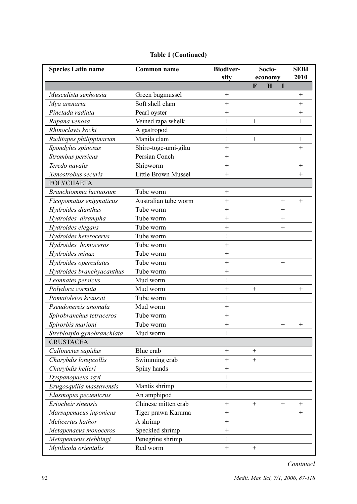| <b>Species Latin name</b>  | Common name          | <b>Biodiver-</b>  | Socio-          |   | <b>SEBI</b>     |        |
|----------------------------|----------------------|-------------------|-----------------|---|-----------------|--------|
|                            |                      | sity              | economy         |   | 2010            |        |
|                            |                      |                   | F               | H | I               |        |
| Musculista senhousia       | Green bugmussel      | $^{+}$            |                 |   |                 | $^{+}$ |
| Mya arenaria               | Soft shell clam      | $^{+}$            |                 |   |                 | $^{+}$ |
| Pinctada radiata           | Pearl oyster         | $^{+}$            |                 |   |                 | $^{+}$ |
| Rapana venosa              | Veined rapa whelk    | $^{+}$            | $+$             |   |                 | $^{+}$ |
| Rhinoclavis kochi          | A gastropod          | $^{+}$            |                 |   |                 |        |
| Ruditapes philippinarum    | Manila clam          | $^{+}$            | $^{+}$          |   | $\! + \!\!\!\!$ | $^{+}$ |
| Spondylus spinosus         | Shiro-toge-umi-giku  | $^{+}$            |                 |   |                 | $^{+}$ |
| Strombus persicus          | Persian Conch        | $^{+}$            |                 |   |                 |        |
| Teredo navalis             | Shipworm             | $^{+}$            |                 |   |                 | $^{+}$ |
| Xenostrobus securis        | Little Brown Mussel  | $^{+}$            |                 |   |                 | $^{+}$ |
| POLYCHAETA                 |                      |                   |                 |   |                 |        |
| Branchiomma luctuosum      | Tube worm            | $^{+}$            |                 |   |                 |        |
| Ficopomatus enigmaticus    | Australian tube worm | $^{+}$            |                 |   | $^{+}$          | $^{+}$ |
| Hydroides dianthus         | Tube worm            | $^{+}$            |                 |   | $^{+}$          |        |
| Hydroides dirampha         | Tube worm            | $^{+}$            |                 |   | $^{+}$          |        |
| Hydroides elegans          | Tube worm            |                   |                 |   | $^{+}$          |        |
| Hydroides heterocerus      | Tube worm            |                   |                 |   |                 |        |
| Hydroides homoceros        | Tube worm            | $^{+}$            |                 |   |                 |        |
| Hydroides minax            | Tube worm            | $^{+}$            |                 |   |                 |        |
| Hydroides operculatus      | Tube worm            |                   |                 |   | $\! +$          |        |
| Hydroides branchyacanthus  | Tube worm            | $^{+}$            |                 |   |                 |        |
| Leonnates persicus         | Mud worm             | $^{+}$            |                 |   |                 |        |
| Polydora cornuta           | Mud worm             | $^{+}$            | $\! + \!\!\!\!$ |   |                 | $^{+}$ |
| Pomatoleios kraussii       | Tube worm            | $^{+}$            |                 |   |                 |        |
| Pseudonereis anomala       | Mud worm             | $^{+}$            |                 |   |                 |        |
| Spirobranchus tetraceros   | Tube worm            | $\! +$            |                 |   |                 |        |
| Spirorbis marioni          | Tube worm            | $\! +$            |                 |   | $\! + \!\!\!\!$ | $^{+}$ |
| Streblospio gynobranchiata | Mud worm             | $^{+}$            |                 |   |                 |        |
| <b>CRUSTACEA</b>           |                      |                   |                 |   |                 |        |
| Callinectes sapidus        | Blue crab            |                   | $\! + \!\!\!\!$ |   |                 |        |
| Charybdis longicollis      | Swimming crab        | $+$               | $^{+}$          |   |                 |        |
| Charybdis helleri          | Spiny hands          | $+$               |                 |   |                 |        |
| Dyspanopaeus sayi          |                      | $^{+}$            |                 |   |                 |        |
| Erugosquilla massavensis   | Mantis shrimp        | $\! +$            |                 |   |                 |        |
| Elasmopus pectenicrus      | An amphipod          |                   |                 |   |                 |        |
| Eriocheir sinensis         | Chinese mitten crab  | $\! + \!\!\!\!$   | $^{+}$          |   | $^{+}$          | $^{+}$ |
| Marsupenaeus japonicus     | Tiger prawn Karuma   |                   |                 |   |                 | $^{+}$ |
| Melicertus hathor          | A shrimp             |                   |                 |   |                 |        |
| Metapenaeus monoceros      | Speckled shrimp      |                   |                 |   |                 |        |
| Metapenaeus stebbingi      | Penegrine shrimp     | $^+$              |                 |   |                 |        |
| Mytilicola orientalis      | Red worm             | $\qquad \qquad +$ | $\! + \!\!\!\!$ |   |                 |        |

# **Table 1 (Continued)**

*Continued*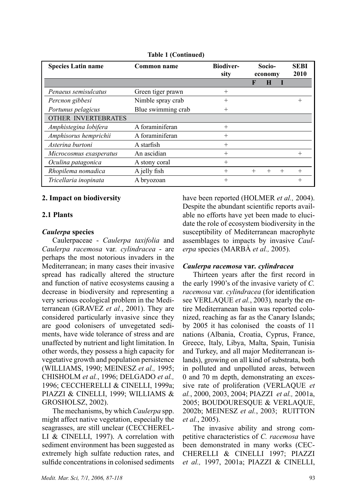| <b>Species Latin name</b> | Common name        | <b>Biodiver-</b><br>sity | Socio-<br>economy |        |        | <b>SEBI</b><br>2010 |
|---------------------------|--------------------|--------------------------|-------------------|--------|--------|---------------------|
|                           |                    |                          | F                 | H      |        |                     |
| Penaeus semisulcatus      | Green tiger prawn  | $^{+}$                   |                   |        |        |                     |
| Percnon gibbesi           | Nimble spray crab  | $^{+}$                   |                   |        |        | $^{+}$              |
| Portunus pelagicus        | Blue swimming crab | $^{+}$                   |                   |        |        |                     |
| OTHER INVERTEBRATES       |                    |                          |                   |        |        |                     |
| Amphistegina lobifera     | A foraminiferan    | $^{+}$                   |                   |        |        |                     |
| Amphisorus hemprichii     | A foraminiferan    | $^{+}$                   |                   |        |        |                     |
| Asterina burtoni          | A starfish         | $^{+}$                   |                   |        |        |                     |
| Microcosmus exasperatus   | An ascidian        | $^{+}$                   |                   |        |        | $^{+}$              |
| Oculina patagonica        | A stony coral      | $^{+}$                   |                   |        |        |                     |
| Rhopilema nomadica        | A jelly fish       | $^{+}$                   | $^{+}$            | $^{+}$ | $^{+}$ | $^{+}$              |
| Tricellaria inopinata     | A bryozoan         | $^{+}$                   |                   |        |        | $^+$                |

**Table 1 (Continued)**

### **2. Impact on biodiversity**

#### **2.1 Plants**

#### *Caulerpa* **species**

Caulerpaceae - *Caulerpa taxifolia* and *Caulerpa racemosa* var*. cylindracea* - are perhaps the most notorious invaders in the Mediterranean; in many cases their invasive spread has radically altered the structure and function of native ecosystems causing a decrease in biodiversity and representing a very serious ecological problem in the Mediterranean (GRAVEZ *et al.*, 2001). They are considered particularly invasive since they are good colonisers of unvegetated sediments, have wide tolerance of stress and are unaffected by nutrient and light limitation. In other words, they possess a high capacity for vegetative growth and population persistence (WILLIAMS, 1990; MEINESZ *et al.,* 1995; CHISHOLM *et al.*, 1996; DELGADO *et al.,* 1996; CECCHERELLI & CINELLI, 1999a; PIAZZI & CINELLI, 1999; WILLIAMS & GROSHOLSZ, 2002).

The mechanisms, by which *Caulerpa* spp. might affect native vegetation, especially the seagrasses, are still unclear (CECCHEREL-LI & CINELLI, 1997). A correlation with sediment environment has been suggested as extremely high sulfate reduction rates, and sulfide concentrations in colonised sediments have been reported (HOLMER *et al.,* 2004). Despite the abundant scientific reports available no efforts have yet been made to elucidate the role of ecosystem biodiversity in the susceptibility of Mediterranean macrophyte assemblages to impacts by invasive *Caulerpa* species (MARBÀ *et al.,* 2005).

### *Caulerpa racemosa* **var***. cylindracea*

Thirteen years after the first record in the early 1990's of the invasive variety of *C. racemosa* var*. cylindracea* (for identification see VERLAQUE *et al.*, 2003)*,* nearly the entire Mediterranean basin was reported colonized, reaching as far as the Canary Islands; by 2005 it has colonised the coasts of 11 nations (Albania, Croatia, Cyprus, France, Greece, Italy, Libya, Malta, Spain, Tunisia and Turkey, and all major Mediterranean islands), growing on all kind of substrata, both in polluted and unpolluted areas, between 0 and 70 m depth, demonstrating an excessive rate of proliferation (VERLAQUE *et al.*, 2000, 2003, 2004; PIAZZI *et al.,* 2001a, 2005; BOUDOURESQUE & VERLAQUE, 2002b; MEINESZ *et al.*, 2003; RUITTON *et al.*, 2005).

The invasive ability and strong competitive characteristics of *C. racemosa* have been demonstrated in many works (CEC-CHERELLI & CINELLI 1997; PIAZZI *et al.,* 1997, 2001a; PIAZZI & CINELLI,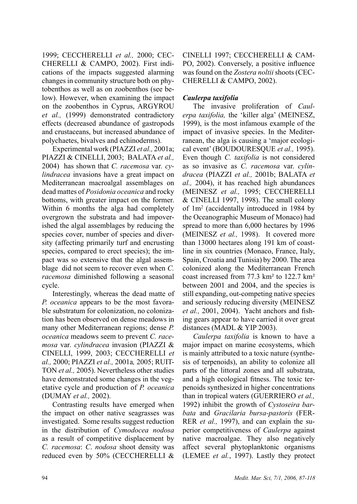1999; CECCHERELLI *et al.,* 2000; CEC-CHERELLI & CAMPO, 2002). First indications of the impacts suggested alarming changes in community structure both on phytobenthos as well as on zoobenthos (see below). However, when examining the impact on the zoobenthos in Cyprus, ARGYROU *et al.,* (1999) demonstrated contradictory effects (decreased abundance of gastropods and crustaceans, but increased abundance of polychaetes, bivalves and echinoderms).

Experimental work (PIAZZI *et al.,* 2001a; PIAZZI & CINELLI, 2003; BALATA *et al.,* 2004) has shown that *C. racemosa* var*. cylindracea* invasions have a great impact on Mediterranean macroalgal assemblages on dead mattes of *Posidonia oceanica* and rocky bottoms, with greater impact on the former. Within 6 months the alga had completely overgrown the substrata and had impoverished the algal assemblages by reducing the species cover, number of species and diversity (affecting primarily turf and encrusting species, compared to erect species); the impact was so extensive that the algal assemblage did not seem to recover even when *C. racemosa* diminished following a seasonal cycle.

Interestingly, whereas the dead matte of *P. oceanica* appears to be the most favorable substratum for colonization, no colonization has been observed on dense meadows in many other Mediterranean regions; dense *P. oceanica* meadows seem to prevent *C. racemosa* var*. cylindracea* invasion (PIAZZI & CINELLI, 1999, 2003; CECCHERELLI *et al.,* 2000; PIAZZI *et al.,* 2001a*,* 2005; RUIT-TON *et al.,* 2005). Nevertheless other studies have demonstrated some changes in the vegetative cycle and production of *P. oceanica* (DUMAY *et al.,* 2002).

Contrasting results have emerged when the impact on other native seagrasses was investigated. Some results suggest reduction in the distribution of *Cymodocea nodosa* as a result of competitive displacement by *C. racemosa*: *C*. *nodosa* shoot density was reduced even by 50% (CECCHERELLI & CINELLI 1997; CECCHERELLI & CAM-PO, 2002). Conversely, a positive influence was found on the *Zostera noltii* shoots (CEC-CHERELLI & CAMPO, 2002).

# *Caulerpa taxifolia*

The invasive proliferation of *Caulerpa taxifolia,* the 'killer alga' (MEINESZ, 1999), is the most infamous example of the impact of invasive species. In the Mediterranean, the alga is causing a 'major ecological event' (BOUDOURESQUE *et al.,* 1995). Even though *C. taxifolia* is not considered as so invasive as *C. racemosa* var. *cylindracea* (PIAZZI *et al.,* 2001b; BALATA *et al.,* 2004), it has reached high abundances (MEINESZ *et al.,* 1995; CECCHERELLI & CINELLI 1997, 1998). The small colony of 1m2 (accidentally introduced in 1984 by the Oceanographic Museum of Monaco) had spread to more than 6,000 hectares by 1996 (MEINESZ *et al.,* 1998). It covered more than 13000 hectares along 191 km of coastline in six countries (Monaco, France, Italy, Spain, Croatia and Tunisia) by 2000. The area colonized along the Mediterranean French coast increased from 77.3 km² to 122.7 km² between 2001 and 2004, and the species is still expanding, out-competing native species and seriously reducing diversity (MEINESZ *et al.,* 2001, 2004). Yacht anchors and fishing gears appear to have carried it over great distances (MADL & YIP 2003).

*Caulerpa taxifolia* is known to have a major impact on marine ecosystems, which is mainly attributed to a toxic nature (synthesis of terpenoids), an ability to colonize all parts of the littoral zones and all substrata, and a high ecological fitness. The toxic terpenoids synthesized in higher concentrations than in tropical waters (GUERRIERO *et al.,* 1992) inhibit the growth of *Cystoseira barbata* and *Gracilaria bursa-pastoris* (FER-RER *et al.,* 1997), and can explain the superior competitiveness of *Caulerpa* against native macroalgae. They also negatively affect several phytoplanktonic organisms (LEMEE *et al.*, 1997). Lastly they protect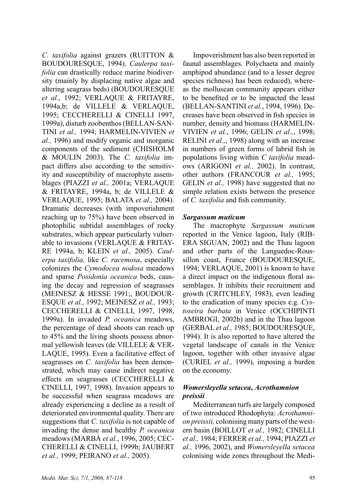*C. taxifolia* against grazers (RUITTON & BOUDOURESQUE, 1994). *Caulerpa taxifolia* can drastically reduce marine biodiversity (mainly by displacing native algae and altering seagrass beds) (BOUDOURESQUE *et al.*, 1992; VERLAQUE & FRITAYRE, 1994a,b; de VILLELE & VERLAQUE, 1995; CECCHERELLI & CINELLI 1997, 1999a), disturb zoobenthos (BELLAN-SAN-TINI *et al.,* 1994; HARMELIN-VIVIEN *et al.,* 1996) and modify organic and inorganic components of the sediment (CHISHOLM & MOULIN 2003). The *C. taxifolia* impact differs also according to the sensitivity and susceptibility of macrophyte assemblages (PIAZZI *et al.,* 2001a; VERLAQUE & FRITAYRE, 1994a, b; de VILLELE & VERLAQUE, 1995; BALATA *et al.,* 2004). Dramatic decreases (with impoverishment reaching up to 75%) have been observed in photophilic subtidal assemblages of rocky substrates, which appear particularly vulnerable to invasions (VERLAQUE & FRITAY-RE 1994a, b; KLEIN *et al.,* 2005). *Caulerpa taxifolia,* like *C. racemosa*, especially colonizes the *Cymodocea nodosa* meadows and sparse *Posidonia oceanica* beds, causing the decay and regression of seagrasses (MEINESZ & HESSE 1991;, BOUDOUR-ESQUE *et al.,* 1992; MEINESZ *et al.,* 1993; CECCHERELLI & CINELLI, 1997, 1998, 1999a). In invaded *P. oceanica* meadows, the percentage of dead shoots can reach up to 45% and the living shoots possess abnormal yellowish leaves (de VILLELE & VER-LAQUE, 1995). Even a facilitative effect of seagrasses on *C. taxifolia* has been demonstrated, which may cause indirect negative effects on seagrasses (CECCHERELLI & CINELLI, 1997, 1998). Invasion appears to be successful when seagrass meadows are already experiencing a decline as a result of deteriorated environmental quality. There are suggestions that *C. taxifolia* is not capable of invading the dense and healthy *P. oceanica*  meadows (MARBÀ *et al.*, 1996, 2005; CEC-CHERELLI & CINELLI, 1999b; JAUBERT *et al.,* 1999; PEIRANO *et al.,* 2005).

Impoverishment has also been reported in faunal assemblages. Polychaeta and mainly amphipod abundance (and to a lesser degree species richness) has been reduced), whereas the molluscan community appears either to be benefited or to be impacted the least (BELLAN-SANTINI *et al.*, 1994, 1996). Decreases have been observed in fish species in number, density and biomass (HARMELIN-VIVIEN *et al.*, 1996; GELIN *et al.,*, 1998; RELINI *et al.,*, 1998) along with an increase in numbers of green forms of labrid fish in populations living within *C taxifolia* meadows (ARIGONI *et al.,* 2002). In contrast, other authors (FRANCOUR *et al.,* 1995; GELIN *et al.,* 1998) have suggested that no simple relation exists between the presence of *C. taxifolia* and fish community.

#### *Sargassum muticum*

The macrophyte *Sargassum muticum* reported in the Venice lagoon, Italy (RIB-ERA SIGUAN, 2002) and the Thau lagoon and other parts of the Languedoc-Roussillon coast, France (BOUDOURESOUE, 1994; VERLAQUE, 2001) is known to have a direct impact on the indigenous floral assemblages. It inhibits their recruitment and growth (CRITCHLEY, 1983), even leading to the eradication of many species e.g. *Cystoseira barbata* in Venice (OCCHIPINTI AMBROGI, 2002b) and in the Thau lagoon (GERBAL *et al.,* 1985; BOUDOURESQUE, 1994). It is also reported to have altered the vegetal landscape of canals in the Venice lagoon, together with other invasive algae (CURIEL *et al.,* 1999), imposing a burden on the economy.

# *Womersleyella setacea***,** *Acrothamnion preissii*

Mediterranean turfs are largely composed of two introduced Rhodophyta: *Acrothamnion preissii,* colonising many parts of the western basin (BOILLOT *et al.,* 1982; CINELLI *et al.,* 1984; FERRER *et al.,* 1994; PIAZZI *et al.,* 1996, 2002), and *Womersleyella setacea* colonising wide zones throughout the Medi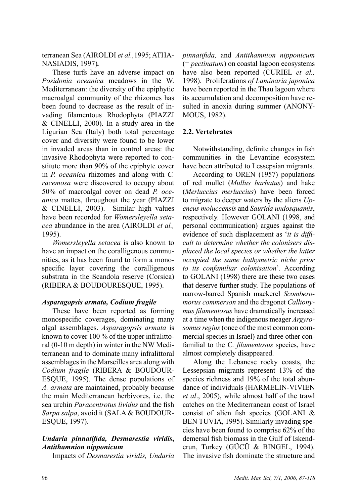terranean Sea (AIROLDI *et al.,*1995; ATHA-NASIADIS, 1997)*.* 

These turfs have an adverse impact on *Posidonia oceanica* meadows in the W. Mediterranean: the diversity of the epiphytic macroalgal community of the rhizomes has been found to decrease as the result of invading filamentous Rhodophyta (PIAZZI & CINELLI, 2000). In a study area in the Ligurian Sea (Italy) both total percentage cover and diversity were found to be lower in invaded areas than in control areas: the invasive Rhodophyta were reported to constitute more than 90% of the epiphyte cover in *P. oceanica* rhizomes and along with *C. racemosa* were discovered to occupy about 50% of macroalgal cover on dead *P. oceanica* mattes, throughout the year (PIAZZI & CINELLI, 2003). Similar high values have been recorded for *Womersleyella setacea* abundance in the area (AIROLDI *et al.,* 1995).

*Womersleyella setacea* is also known to have an impact on the coralligenous communities, as it has been found to form a monospecific layer covering the coralligenous substrata in the Scandola reserve (Corsica) (RIBERA & BOUDOURESQUE, 1995).

### *Asparagopsis armata, Codium fragile*

These have been reported as forming monospecific coverages, dominating many algal assemblages. *Asparagopsis armata* is known to cover 100 % of the upper infralittoral (0-10 m depth) in winter in the NW Mediterranean and to dominate many infralittoral assemblages in the Marseilles area along with *Codium fragile* (RIBERA & BOUDOUR-ESQUE, 1995). The dense populations of *A. armata* are maintained, probably because the main Mediterranean herbivores, i.e. the sea urchin *Paracentrotus lividus* and the fish *Sarpa salpa*, avoid it (SALA & BOUDOUR-ESQUE, 1997).

# *Undaria pinnatifida, Desmarestia viridis***,**  *Antithamnion nipponicum*

Impacts of *Desmarestia viridis, Undaria* 

*pinnatifida,* and *Antithamnion nipponicum* (= *pectinatum*) on coastal lagoon ecosystems have also been reported (CURIEL *et al.,* 1998). Proliferations *of Laminaria japonica*  have been reported in the Thau lagoon where its accumulation and decomposition have resulted in anoxia during summer (ANONY-MOUS, 1982).

# **2.2. Vertebrates**

Notwithstanding, definite changes in fish communities in the Levantine ecosystem have been attributed to Lessepsian migrants.

According to OREN (1957) populations of red mullet (*Mullus barbatus*) and hake (*Merluccius merluccius*) have been forced to migrate to deeper waters by the aliens *Upeneus moluccensis* and *Saurida undosquamis*, respectively. However GOLANI (1998, and personal communication) argues against the evidence of such displacement as '*it is difficult to determine whether the colonisers displaced the local species or whether the latter occupied the same bathymetric niche prior to its confamiliar colonisation*'. According to GOLANI (1998) there are these two cases that deserve further study. The populations of narrow-barred Spanish mackerel *Scomberomorus commerson* and the dragonet *Callionymus filamentosus* have dramatically increased at a time when the indigenous meager *Argyrosomus regius* (once of the most common commercial species in Israel) and three other confamilial to the C*. filamentosus* species, have almost completely disappeared.

Along the Lebanese rocky coasts, the Lessepsian migrants represent 13% of the species richness and 19% of the total abundance of individuals (HARMELIN-VIVIEN *et al*., 2005), while almost half of the trawl catches on the Mediterranean coast of Israel consist of alien fish species (GOLANI & BEN TUVIA, 1995). Similarly invading species have been found to comprise 62% of the demersal fish biomass in the Gulf of Iskenderun, Turkey (GÜCÜ & BINGEL, 1994). The invasive fish dominate the structure and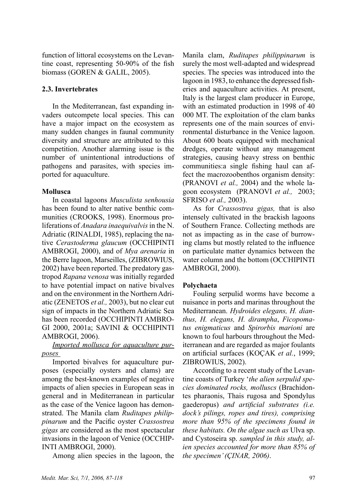function of littoral ecosystems on the Levantine coast, representing 50-90% of the fish biomass (GOREN & GALIL, 2005).

# **2.3. Invertebrates**

In the Mediterranean, fast expanding invaders outcompete local species. This can have a major impact on the ecosystem as many sudden changes in faunal community diversity and structure are attributed to this competition. Another alarming issue is the number of unintentional introductions of pathogens and parasites, with species imported for aquaculture.

### **Mollusca**

In coastal lagoons *Musculista senhousia* has been found to alter native benthic communities (CROOKS, 1998). Enormous proliferations of *Anadara inaequivalvis* in the N. Adriatic (RINALDI, 1985), replacing the native *Cerastoderma glaucum* (OCCHIPINTI AMBROGI, 2000), and of *Mya arenaria* in the Berre lagoon, Marseilles, (ZIBROWIUS, 2002) have been reported. The predatory gastropod *Rapana* v*enosa* was initially regarded to have potential impact on native bivalves and on the environment in the Northern Adriatic (ZENETOS *et al.,* 2003), but no clear cut sign of impacts in the Northern Adriatic Sea has been recorded (OCCHIPINTI AMBRO-GI 2000, 2001a; SAVINI & OCCHIPINTI AMBROGI, 2006).

# *Imported mollusca for aquaculture purposes*

Imported bivalves for aquaculture purposes (especially oysters and clams) are among the best-known examples of negative impacts of alien species in European seas in general and in Mediterranean in particular as the case of the Venice lagoon has demonstrated. The Manila clam *Ruditapes philippinarum* and the Pacific oyster *Crassostrea gigas* are considered as the most spectacular invasions in the lagoon of Venice (OCCHIP-INTI AMBROGI, 2000).

Among alien species in the lagoon, the

Manila clam, *Ruditapes philippinarum* is surely the most well-adapted and widespread species. The species was introduced into the lagoon in 1983, to enhance the depressed fisheries and aquaculture activities. At present, Italy is the largest clam producer in Europe, with an estimated production in 1998 of 40 000 MT. The exploitation of the clam banks represents one of the main sources of environmental disturbance in the Venice lagoon. About 600 boats equipped with mechanical dredges, operate without any management strategies, causing heavy stress on benthic communities:a single fishing haul can affect the macrozoobenthos organism density: (PRANOVI *et al.,* 2004) and the whole lagoon ecosystem (PRANOVI *et al.,* 2003; SFRISO *et al.,* 2003).

As for *Crassostrea gigas,* that is also intensely cultivated in the brackish lagoons of Southern France. Collecting methods are not as impacting as in the case of burrowing clams but mostly related to the influence on particulate matter dynamics between the water column and the bottom (OCCHIPINTI AMBROGI, 2000).

# **Polychaeta**

Fouling serpulid worms have become a nuisance in ports and marinas throughout the Mediterranean. *Hydroides elegans, H. dianthus, H. elegans, H. dirampha*, *Ficopomatus enigmaticus* and *Spirorbis marioni* are known to foul harbours throughout the Mediterranean and are regarded as major foulants on artificial surfaces (KOÇAK *et al.*, 1999; ZIBROWIUS, 2002).

According to a recent study of the Levantine coasts of Turkey '*the alien serpulid species dominated rocks, molluscs* (Brachidontes pharaonis, Thais rugosa and Spondylus gaederopus) *and artificial substrates (i.e. dock's pilings, ropes and tires), comprising more than 95% of the specimens found in these habitats. On the algae such as* Ulva sp. and Cystoseira sp. *sampled in this study, alien species accounted for more than 85% of the specimen' (ÇINAR, 2006)*.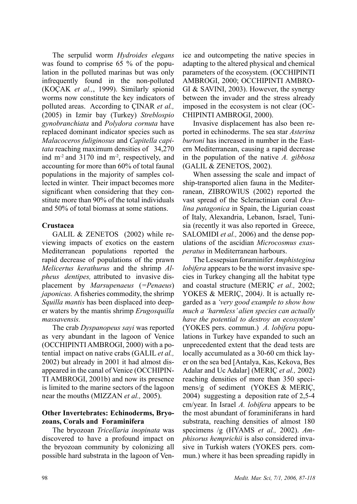The serpulid worm *Hydroides elegans* was found to comprise 65 % of the population in the polluted marinas but was only infrequently found in the non-polluted (KOÇAK *et al.,*, 1999). Similarly spionid worms now constitute the key indicators of polluted areas. According to ÇINAR *et al.,* (2005) in Izmir bay (Turkey) *Streblospio gynobranchiata* and *Polydora cornuta* have replaced dominant indicator species such as *Malacoceros fuliginosus* and *Capitella capitata* reaching maximum densities of 34,270 ind  $m<sup>2</sup>$  and 3170 ind  $m<sup>2</sup>$ , respectively, and accounting for more than 60% of total faunal populations in the majority of samples collected in winter. Their impact becomes more significant when considering that they constitute more than 90% of the total individuals and 50% of total biomass at some stations.

# **Crustacea**

GALIL & ZENETOS (2002) while reviewing impacts of exotics on the eastern Mediterranean populations reported the rapid decrease of populations of the prawn *Melicertus kerathurus* and the shrimp *Alpheus dentipes,* attributed to invasive displacement by *Marsupenaeus* (*=Penaeus*) *japonicus.* A fisheries commodity, the shrimp *Squilla mantis* has been displaced into deeper waters by the mantis shrimp *Erugosquilla massavensis.*

Τhe crab *Dyspanopeus sayi* was reported as very abundant in the lagoon of Venice (OCCHIPINTI AMBROGI, 2000) with a potential impact on native crabs (GALIL *et al.,* 2002) but already in 2001 it had almost disappeared in the canal of Venice (OCCHIPIN-TI AMBROGI, 2001b) and now its presence is limited to the marine sectors of the lagoon near the mouths (MIZZAN *et al.,* 2005).

# **Other Invertebrates: Echinoderms, Bryozoans, Corals and Foraminifera**

The bryozoan *Tricellaria inopinata* was discovered to have a profound impact on the bryozoan community by colonizing all possible hard substrata in the lagoon of Ven-

ice and outcompeting the native species in adapting to the altered physical and chemical parameters of the ecosystem. (OCCHIPINTI AMBROGI, 2000; OCCHIPINTI AMBRO-GI & SAVINI, 2003). However, the synergy between the invader and the stress already imposed in the ecosystem is not clear (OC-CHIPINTI AMBROGI, 2000).

Invasive displacement has also been reported in echinoderms. The sea star *Asterina burtoni* has increased in number in the Eastern Mediterranean, causing a rapid decrease in the population of the native *A. gibbosa* (GALIL & ZENETOS, 2002).

When assessing the scale and impact of ship-transported alien fauna in the Mediterranean, ZIBROWIUS (2002) reported the vast spread of the Scleractinian coral *Oculina patagonica* in Spain, the Ligurian coast of Italy, Alexandria, Lebanon, Israel, Tunisia (recently it was also reported in Greece, SALOMIDI *et al.,* 2006) and the dense populations of the ascidian *Microcosmus exasperatus* in Mediterranean harbours.

The Lessepsian foraminifer *Amphistegina lobifera* appears to be the worst invasive species in Turkey changing all the habitat type and coastal structure (MERIÇ *et al.,* 2002; YOKES & MERIÇ, 2004*)*. It is actually regarded as a *'very good example to show how much a 'harmless' alien species can actually have the potential to destroy an ecosystem*' (YOKES pers. commun.) *A. lobifera* populations in Turkey have expanded to such an unprecedented extent that the dead tests are locally accumulated as a 30-60 cm thick layer on the sea bed [Antalya, Kas, Kekova, Bes Adalar and Uc Adalar] (MERIÇ *et al.,* 2002) reaching densities of more than 350 specimens/g of sediment (YOKES & MERIÇ, 2004) suggesting a deposition rate of 2,5-4 cm/year. In Israel *A. lobifera* appears to be the most abundant of foraminiferans in hard substrata, reaching densities of almost 180 specimens /g (HYAMS *et al.,* 2002). *Amphisorus hemprichii* is also considered invasive in Turkish waters (YOKES pers. commun.) where it has been spreading rapidly in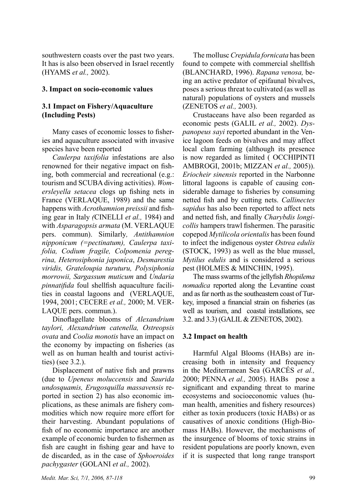southwestern coasts over the past two years. It has is also been observed in Israel recently (HYAMS *et al.,* 2002).

### **3. Impact on socio-economic values**

# **3.1 Impact on Fishery/Aquaculture (Including Pests)**

Many cases of economic losses to fisheries and aquaculture associated with invasive species have been reported

*Caulerpa taxifolia* infestations are also renowned for their negative impact on fishing, both commercial and recreational (e.g.: tourism and SCUBA diving activities). *Womersleyella setacea* clogs up fishing nets in France (VERLAQUE, 1989) and the same happens with *Acrothamnion preissii* and fishing gear in Italy *(*CINELLI *et al.,* 1984) and with *Asparagopsis armata* (M. VERLAQUE pers. commun). Similarly*, Antithamnion nipponicum (=pectinatum), Caulerpa taxifolia, Codium fragile, Colpomenia peregrina, Heterosiphonia japonica*, *Desmarestia viridis, Grateloupia turuturu, Polysiphonia morrowii, Sargassum muticum* and *Undaria pinnatifida* foul shellfish aquaculture facilities in coastal lagoons and (VERLAQUE, 1994, 2001; CECERE *et al.,* 2000; M. VER-LAQUE pers. commun.).

Dinoflagellate blooms of *Alexandrium taylori, Alexandrium catenella, Ostreopsis ovata* and *Coolia monotis* have an impact on the economy by impacting on fisheries (as well as on human health and tourist activities) (see 3.2.).

Displacement of native fish and prawns (due to *Upeneus moluccensis* and *Saurida undosquamis, Erugosquilla massavensis* reported in section 2) has also economic implications, as these animals are fishery commodities which now require more effort for their harvesting. Abundant populations of fish of no economic importance are another example of economic burden to fishermen as fish are caught in fishing gear and have to de discarded, as in the case of *Sphoeroides pachygaster* (GOLANI *et al.,* 2002).

The mollusc *Crepidula fornicata* has been found to compete with commercial shellfish (BLANCHARD, 1996). *Rapana venosa,* being an active predator of epifaunal bivalves, poses a serious threat to cultivated (as well as natural) populations of oysters and mussels (ZENETOS *et al.,* 2003).

Crustaceans have also been regarded as economic pests (GALIL *et al.,* 2002). *Dyspanopeus sayi* reported abundant in the Venice lagoon feeds on bivalves and may affect local clam farming (although its presence is now regarded as limited ( OCCHIPINTI AMBROGI, 2001b; MIZZAN *et al.,* 2005)). *Eriocheir sinensis* reported in the Narbonne littoral lagoons is capable of causing considerable damage to fisheries by consuming netted fish and by cutting nets. *Callinectes sapidus* has also been reported to affect nets and netted fish, and finally *Charybdis longicollis* hampers trawl fishermen. The parasitic copepod *Mytilicola orientalis* has been found to infect the indigenous oyster *Ostrea edulis* (STOCK, 1993) as well as the blue mussel, *Mytilus edulis* and is considered a serious pest (HOLMES & MINCHIN, 1995).

The mass swarms of the jellyfish *Rhopilema nomadica* reported along the Levantine coast and as far north as the southeastern coast of Turkey, imposed a financial strain on fisheries (as well as tourism, and coastal installations, see 3.2. and 3.3) (GALIL & ZENETOS, 2002).

# **3.2 Impact on health**

Ηarmful Algal Blooms (HABs) are increasing both in intensity and frequency in the Mediterranean Sea (GARCÉS *et al.,* 2000; PENNA *et al.,* 2005). HABs pose a significant and expanding threat to marine ecosystems and socioeconomic values (human health, amenities and fishery resources) either as toxin producers (toxic HABs) or as causatives of anoxic conditions (High-Biomass HABs). However, the mechanisms of the insurgence of blooms of toxic strains in resident populations are poorly known, even if it is suspected that long range transport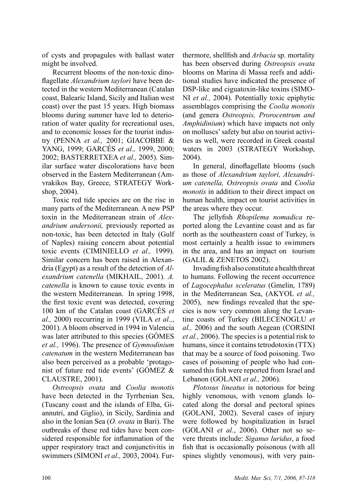of cysts and propagules with ballast water might be involved.

Recurrent blooms of the non-toxic dinoflagellate *Alexandrium taylori* have been detected in the western Mediterranean (Catalan coast, Balearic Island, Sicily and Italian west coast) over the past 15 years. High biomass blooms during summer have led to deterioration of water quality for recreational uses, and to economic losses for the tourist industry (PENNA *et al.,* 2001; GIACOBBE & YANG, 1999; GARCÉS *et al.,* 1999, 2000; 2002; BASTERRETXEA *et al.,* 2005). Similar surface water discolorations have been observed in the Eastern Mediterranean (Amvrakikos Bay, Greece, STRATEGY Workshop, 2004).

Toxic red tide species are on the rise in many parts of the Mediterranean. A new PSP toxin in the Mediterranean strain of *Alexandrium andersonii,* previously reported as non-toxic, has been detected in Italy (Gulf of Naples) raising concern about potential toxic events (CIMINIELLO *et al.,* 1999). Similar concern has been raised in Alexandria (Egypt) as a result of the detection of *Alexandrium catenella* (MIKHAIL, 2001). *A. catenella* is known to cause toxic events in the western Mediterranean. In spring 1998, the first toxic event was detected, covering 100 km of the Catalan coast (GARCÉS *et al.,* 2000) reccurring in 1999 (VILA *et al.,*, 2001). A bloom observed in 1994 in Valencia was later attributed to this species (GÓMES *et al.,* 1996). The presence of *Gymnodinium catenatum* in the western Mediterranean has also been perceived as a probable 'protagonist of future red tide events' (GÓMEZ & CLAUSTRE, 2001).

*Ostreopsis ovata* and *Coolia monotis*  have been detected in the Tyrrhenian Sea, (Tuscany coast and the islands of Elba, Giannutri, and Giglio), in Sicily, Sardinia and also in the Ionian Sea (*O. ovata* in Bari). The outbreaks of these red tides have been considered responsible for inflammation of the upper respiratory tract and conjunctivitis in swimmers (SIMONI *et al.,* 2003, 2004). Fur-

thermore, shellfish and *Arbacia* sp. mortality has been observed during *Ostreopsis ovata*  blooms on Marina di Massa reefs and additional studies have indicated the presence of DSP-like and ciguatoxin-like toxins (SIMO-NI *et al.,* 2004). Potentially toxic epiphytic assemblages comprising the *Coolia monotis* (and genera *Ostreopsis, Prorocentrum and Amphidinium*) which have impacts not only on molluscs' safety but also on tourist activities as well, were recorded in Greek coastal waters in 2003 (STRATEGY Workshop, 2004).

In general, dinoflagellate blooms (such as those of *Alexandrium taylori, Alexandrium catenella, Ostreopsis ovata* and *Coolia monotis* in addition to their direct impact on human health, impact on tourist activities in the areas where they occur.

The jellyfish *Rhopilema nomadica* reported along the Levantine coast and as far north as the southeastern coast of Turkey, is most certainly a health issue to swimmers in the area, and has an impact on tourism (GALIL & ZENETOS 2002).

Invading fish also constitute a health threat to humans. Following the recent occurrence of *Lagocephalus sceleratus* (Gmelin, 1789) in the Mediterranean Sea, (AKYOL *et al.,* 2005), new findings revealed that the species is now very common along the Levantine coasts of Turkey (BILECENOGLU *et al.,* 2006) and the south Aegean (CORSINI *et al.,* 2006). The species is a potential risk to humans, since it contains tetrodotoxin (TTX) that may be a source of food poisoning. Two cases of poisoning of people who had consumed this fish were reported from Israel and Lebanon (GOLANI *et al.,* 2006).

*Plotosus lineatus* is notorious for being highly venomous, with venom glands located along the dorsal and pectoral spines (GOLANI, 2002). Several cases of injury were followed by hospitalization in Israel (GOLANI *et al.*, 2006). Other not so severe threats include: *Siganus luridus*, a food fish that is occasionally poisonous (with all spines slightly venomous), with very pain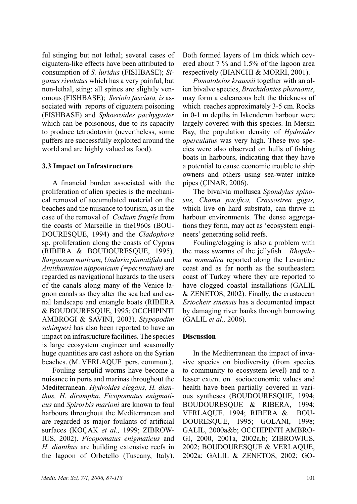ful stinging but not lethal; several cases of ciguatera-like effects have been attributed to consumption of *S. luridus* (FISHBASE); *Siganus rivulatus* which has a very painful, but non-lethal, sting: all spines are slightly venomous (FISHBASE); *Seriola fasciata, is* associated with reports of ciguatera poisoning (FISHBASE) and *Sphoeroides pachygaster* which can be poisonous, due to its capacity to produce tetrodotoxin (nevertheless, some puffers are successfully exploited around the world and are highly valued as food).

### **3.3 Impact on Infrastructure**

A financial burden associated with the proliferation of alien species is the mechanical removal of accumulated material on the beaches and the nuisance to tourism, as in the case of the removal of *Codium fragile* from the coasts of Marseille in the1960s (BOU-DOURESQUE, 1994) and the *Cladophora*  sp. proliferation along the coasts of Cyprus (RIBERA & BOUDOURESQUE, 1995). *Sargassum muticum, Undaria pinnatifida* and *Antithamnion nipponicum (=pectinatum)* are regarded as navigational hazards to the users of the canals along many of the Venice lagoon canals as they alter the sea bed and canal landscape and entangle boats (RIBERA & BOUDOURESQUE, 1995; OCCHIPINTI AMBROGI & SAVINI, 2003). *Stypopodim schimperi* has also been reported to have an impact on infrasructure facilities. The species is large ecosystem engineer and seasonally huge quantities are cast ashore on the Syrian beaches. (M. VERLAQUE pers. commun.).

Fouling serpulid worms have become a nuisance in ports and marinas throughout the Mediterranean. *Hydroides elegans, H. dianthus, H. dirampha*, *Ficopomatus enigmaticus* and *Spirorbis marioni* are known to foul harbours throughout the Mediterranean and are regarded as major foulants of artificial surfaces (KOÇAK *et al.,* 1999; ZIBROW-IUS, 2002). *Ficopomatus enigmaticus* and *H. dianthus* are building extensive reefs in the lagoon of Orbetello (Tuscany, Italy).

Both formed layers of 1m thick which covered about 7 % and 1.5% of the lagoon area respectively (BIANCHI & MORRI, 2001).

*Pomatoleios kraussii* together with an alien bivalve species, *Brachidontes pharaonis*, may form a calcareous belt the thickness of which reaches approximately 3-5 cm. Rocks in 0-1 m depths in Iskenderun harbour were largely covered with this species. In Mersin Bay, the population density of *Hydroides operculatus* was very high. These two species were also observed on hulls of fishing boats in harbours, indicating that they have a potential to cause economic trouble to ship owners and others using sea-water intake pipes (ÇINAR, 2006).

The bivalvia mollusca *Spondylus spinosus, Chama pacifica, Crassostrea gigas,*  which live on hard substrata, can thrive in harbour environments. The dense aggregations they form, may act as 'ecosystem engineers' generating solid reefs.

Fouling/clogging is also a problem with the mass swarms of the jellyfish *Rhopilema nomadica* reported along the Levantine coast and as far north as the southeastern coast of Turkey where they are reported to have clogged coastal installations (GALIL & ZENETOS, 2002). Finally, the crustacean *Eriocheir sinensis* has a documented impact by damaging river banks through burrowing (GALIL *et al.,* 2006).

# **Discussion**

In the Mediterranean the impact of invasive species on biodiversity (from species to community to ecosystem level) and to a lesser extent on socioeconomic values and health have been partially covered in various syntheses (BOUDOURESQUE, 1994; BOUDOURESQUE & RIBERA, 1994; VERLAQUE, 1994; RIBERA & BOU-DOURESQUE, 1995; GOLANI, 1998; GALIL, 2000a&b; OCCHIPINTI AMBRO-GI, 2000, 2001a, 2002a,b; ZIBROWIUS, 2002; BOUDOURESQUE & VERLAQUE, 2002a; GALIL & ZENETOS, 2002; GO-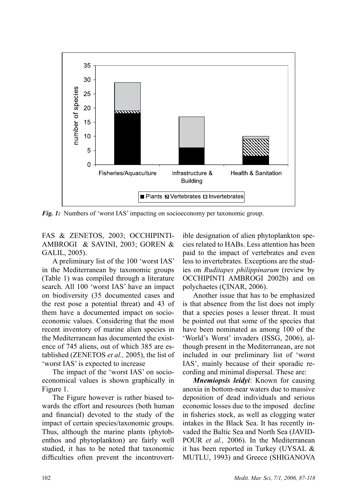

*Fig. 1:* Numbers of 'worst IAS' impacting on socioeconomy per taxonomic group.

FAS & ZENETOS, 2003; OCCHIPINTI-AMBROGI & SAVINI, 2003; GOREN & GALIL, 2005).

A preliminary list of the 100 'worst IAS' in the Mediterranean by taxonomic groups (Table 1) was compiled through a literature search. All 100 'worst IAS' have an impact on biodiversity (35 documented cases and the rest pose a potential threat) and 43 of them have a documented impact on socioeconomic values. Considering that the most recent inventory of marine alien species in the Mediterranean has documented the existence of 745 aliens, out of which 385 are established (ZENETOS *et al.,* 2005), the list of 'worst IAS' is expected to increase

The impact of the 'worst IAS' on socioeconomical values is shown graphically in Figure 1.

The Figure however is rather biased towards the effort and resources (both human and financial) devoted to the study of the impact of certain species/taxonomic groups. Thus, although the marine plants (phytobenthos and phytoplankton) are fairly well studied, it has to be noted that taxonomic difficulties often prevent the incontrovert-

ible designation of alien phytoplankton species related to HABs. Less attention has been paid to the impact of vertebrates and even less to invertebrates. Exceptions are the studies on *Ruditapes philippinarum* (review by OCCHIPINTI AMBROGI 2002b) and on polychaetes (ÇINAR, 2006).

Another issue that has to be emphasized is that absence from the list does not imply that a species poses a lesser threat. It must be pointed out that some of the species that have been nominated as among 100 of the 'World's Worst' invaders (ISSG, 2006), although present in the Mediterranean, are not included in our preliminary list of 'worst IAS', mainly because of their sporadic recording and minimal dispersal. These are:

*Mnemiopsis leidyi*: Known for causing anoxia in bottom-near waters due to massive deposition of dead individuals and serious economic losses due to the imposed decline in fisheries stock, as well as clogging water intakes in the Black Sea. It has recently invaded the Baltic Sea and North Sea (JAVID-POUR *et al.,* 2006). In the Mediterranean it has been reported in Turkey (UYSAL & MUTLU, 1993) and Greece (SHIGANOVA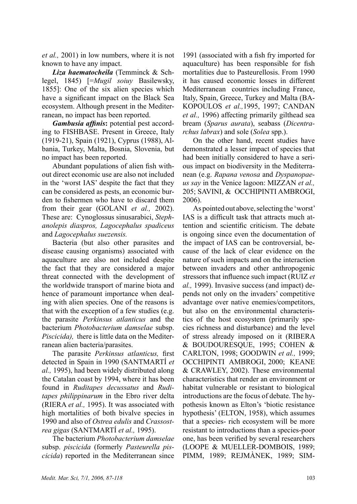*et al.,* 2001) in low numbers, where it is not known to have any impact.

*Liza haematocheila* (Temminck & Schlegel, 1845) [=*Mugil soiuy* Basilewsky, 1855]: One of the six alien species which have a significant impact on the Black Sea ecosystem. Although present in the Mediterranean, no impact has been reported.

*Gambusia affinis***:** potential pest according to FISHBASE. Present in Greece, Italy (1919-21), Spain (1921), Cyprus (1988), Albania, Turkey, Malta, Bosnia, Slovenia, but no impact has been reported.

Abundant populations of alien fish without direct economic use are also not included in the 'worst IAS' despite the fact that they can be considered as pests, an economic burden to fishermen who have to discard them from their gear (GOLANI *et al.,* 2002). These are: Cynoglossus sinusarabici, *Stephanolepis diaspros, Lagocephalus spadiceus* and *Lagocephalus suezensis.*

Bacteria (but also other parasites and disease causing organisms) associated with aquaculture are also not included despite the fact that they are considered a major threat connected with the development of the worldwide transport of marine biota and hence of paramount importance when dealing with alien species. One of the reasons is that with the exception of a few studies (e.g. the parasite *Perkinsus atlanticus* and the bacterium *Photobacterium damselae* subsp. *Piscicida),* there is little data on the Mediterranean alien bacteria/parasites.

The parasite *Perkinsus atlanticus,* first detected in Spain in 1990 (SANTMARTÍ *et al.,* 1995), had been widely distributed along the Catalan coast by 1994, where it has been found in *Ruditapes decussatus* and *Ruditapes philippinarum* in the Ebro river delta (RIERA *et al.,* 1995). It was associated with high mortalities of both bivalve species in 1990 and also of *Ostrea edulis* and *Crassostrea gigas* (SANTMARTÍ *et al.,* 1995).

The bacterium *Photobacterium damselae* subsp. *piscicida* (formerly *Pasteurella piscicida*) reported in the Mediterranean since

1991 (associated with a fish fry imported for aquaculture) has been responsible for fish mortalities due to Pasteurellosis. From 1990 it has caused economic losses in different Mediterranean countries including France, Italy, Spain, Greece, Turkey and Malta (BA-KOPOULOS *et al.,*1995, 1997; CANDAN *et al.,* 1996) affecting primarily gilthead sea bream (*Sparus aurata*), seabass (*Dicentrarchus labrax*) and sole (*Solea* spp.).

On the other hand, recent studies have demonstrated a lesser impact of species that had been initially considered to have a serious impact on biodiversity in the Mediterranean (e.g. *Rapana venosa* and *Dyspanopaeus say* in the Venice lagoon: MIZZAN *et al.,* 205; SAVINI, & OCCHIPINTI AMBROGI, 2006).

As pointed out above, selecting the 'worst' IAS is a difficult task that attracts much attention and scientific criticism. The debate is ongoing since even the documentation of the impact of IAS can be controversial, because of the lack of clear evidence on the nature of such impacts and on the interaction between invaders and other anthropogenic stressors that influence such impact (RUIZ *et al.,* 1999). Invasive success (and impact) depends not only on the invaders' competitive advantage over native enemies/competitors, but also on the environmental characteristics of the host ecosystem (primarily species richness and disturbance) and the level of stress already imposed on it (RIBERA & BOUDOURESQUE, 1995; COHEN & CARLTON, 1998; GOODWIN *et al.,* 1999; OCCHIPINTI AMBROGI, 2000; KEANE & CRAWLEY, 2002). These environmental characteristics that render an environment or habitat vulnerable or resistant to biological introductions are the focus of debate. The hypothesis known as Elton's 'biotic resistance hypothesis' (ELTON, 1958), which assumes that a species- rich ecosystem will be more resistant to introductions than a species-poor one, has been verified by several researchers (LOOPE & MUELLER-DOMBOIS, 1989; PIMM, 1989; REJMÀNEK, 1989; SIM-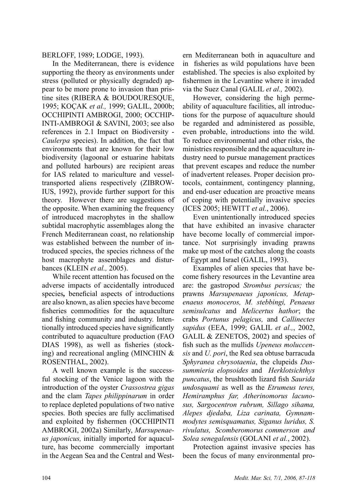### BERLOFF, 1989; LODGE, 1993).

In the Mediterranean, there is evidence supporting the theory as environments under stress (polluted or physically degraded) appear to be more prone to invasion than pristine sites (RIBERA & BOUDOURESQUE, 1995; KoÇak *et al.,* 1999; GALIL, 2000b; OCCHIPINTI AMBROGI, 2000; OCCHIP-INTI-AMBROGI & SAVINI, 2003; see also references in 2.1 Impact on Biodiversity - *Caulerpa* species). In addition, the fact that environments that are known for their low biodiversity (lagoonal or estuarine habitats and polluted harbours) are recipient areas for IAS related to mariculture and vesseltransported aliens respectively (ZIBROW-IUS, 1992), provide further support for this theory. However there are suggestions of the opposite. When examining the frequency of introduced macrophytes in the shallow subtidal macrophytic assemblages along the French Mediterranean coast, no relationship was established between the number of introduced species, the species richness of the host macrophyte assemblages and disturbances (KLEIN *et al.,* 2005).

While recent attention has focused on the adverse impacts of accidentally introduced species*,* beneficial aspects of introductions are also known, as alien species have become fisheries commodities for the aquaculture and fishing community and industry. Intentionally introduced species have significantly contributed to aquaculture production (FAO DIAS 1998), as well as fisheries (stocking) and recreational angling (MINCHIN & ROSENTHAL, 2002).

A well known example is the successful stocking of the Venice lagoon with the introduction of the oyster *Crassostrea gigas* and the clam *Tapes philippinarum* in order to replace depleted populations of two native species. Both species are fully acclimatised and exploited by fishermen (OCCHIPINTI AMBROGI, 2002a) Similarly, *Marsupenaeus japonicus,* initially imported for aquaculture, has become commercially important in the Aegean Sea and the Central and Western Mediterranean both in aquaculture and in fisheries as wild populations have been established. The species is also exploited by fishermen in the Levantine where it invaded via the Suez Canal (GALIL *et al.,* 2002).

However, considering the high permeability of aquaculture facilities, all introductions for the purpose of aquaculture should be regarded and administered as possible, even probable, introductions into the wild. To reduce environmental and other risks, the ministries responsible and the aquaculture industry need to pursue management practices that prevent escapes and reduce the number of inadvertent releases. Proper decision protocols, containment, contingency planning, and end-user education are proactive means of coping with potentially invasive species (ICES 2005; HEWITT *et al.*, 2006).

Even unintentionally introduced species that have exhibited an invasive character have become locally of commercial importance. Not surprisingly invading prawns make up most of the catches along the coasts of Egypt and Israel (GALIL, 1993).

Examples of alien species that have become fishery resources in the Levantine area are: the gastropod *Strombus persicus;* the prawns *Marsupenaeus japonicus, Metapenaeus monoceros, M. stebbingi, Penaeus semisulcatus* and *Melicertus hathor*; the crabs *Portunus pelagicus,* and *Callinectes sapidus* (EEA, 1999; GALIL *et al.,*, 2002, GALIL & ZENETOS, 2002) and species of fish such as the mullids *Upeneus moluccensis* and *U. pori*, the Red sea obtuse barracuda *Sphyranea chrysotaenia*, the clupeids *Dussummieria elopsoides* and *Herklotsichthys puncatus*, the brushtooth lizard fish *Saurida undosquami* as well as the *Etrumeus teres, Hemiramphus far, Atherinomorus lacunosus, Sargocentron rubrum, Sillago sihama, Alepes djedaba, Liza carinata, Gymnammodytes semisquamatus, Siganus luridus, S. rivulatus, Scomberomorus commerson and Solea senegalensis* (GOLANI *et al.*, 2002).

Protection against invasive species has been the focus of many environmental pro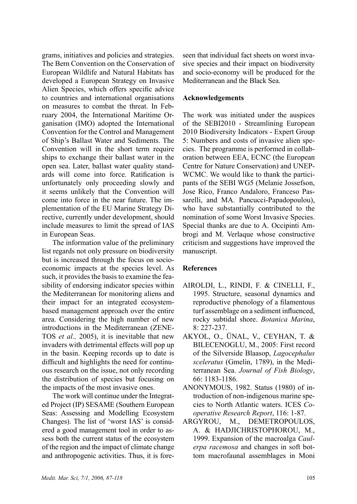grams, initiatives and policies and strategies. The Bern Convention on the Conservation of European Wildlife and Natural Habitats has developed a European Strategy on Invasive Alien Species, which offers specific advice to countries and international organisations on measures to combat the threat. In February 2004, the International Maritime Organisation (IMO) adopted the International Convention for the Control and Management of Ship's Ballast Water and Sediments. The Convention will in the short term require ships to exchange their ballast water in the open sea. Later, ballast water quality standards will come into force. Ratification is unfortunately only proceeding slowly and it seems unlikely that the Convention will come into force in the near future. The implementation of the EU Marine Strategy Directive, currently under development, should include measures to limit the spread of IAS in European Seas.

The information value of the preliminary list regards not only pressure on biodiversity but is increased through the focus on socioeconomic impacts at the species level. As such, it provides the basis to examine the feasibility of endorsing indicator species within the Mediterranean for monitoring aliens and their impact for an integrated ecosystembased management approach over the entire area. Considering the high number of new introductions in the Mediterranean (ZENE-TOS *et al.,* 2005), it is inevitable that new invaders with detrimental effects will pop up in the basin. Keeping records up to date is difficult and highlights the need for continuous research on the issue, not only recording the distribution of species but focusing on the impacts of the most invasive ones.

The work will continue under the Integrated Project (IP) SESAME (Southern European Seas: Assessing and Modelling Ecosystem Changes). The list of 'worst IAS' is considered a good management tool in order to assess both the current status of the ecosystem of the region and the impact of climate change and anthropogenic activities. Thus, it is foreseen that individual fact sheets on worst invasive species and their impact on biodiversity and socio-economy will be produced for the Mediterranean and the Black Sea.

### **Acknowledgements**

The work was initiated under the auspices of the SEBI2010 - Streamlining European 2010 Biodiversity Indicators - Expert Group 5: Numbers and costs of invasive alien species. The programme is performed in collaboration between EEA, ECNC (the European Centre for Nature Conservation) and UNEP-WCMC. We would like to thank the participants of the SEBI WG5 (Melanie Jossefson, Jose Rico, Franco Andaloro, Franceso Passarelli, and MA. Pancucci-Papadopoulou), who have substantially contributed to the nomination of some Worst Invasive Species. Special thanks are due to A. Occipinti Ambrogi and M. Verlaque whose constructive criticism and suggestions have improved the manuscript.

# **References**

- AIROLDI, L., RINDI, F. & CINELLI, F., 1995. Structure, seasonal dynamics and reproductive phenology of a filamentous turf assemblage on a sediment influenced, rocky subtidal shore. *Botanica Marina*, 8: 227-237.
- AKYOL, O., ÜNAL, V., CEYHAN, T. & BILECENOGLU, M., 2005: First record of the Silverside Blaasop, *Lagocephalus sceleratus* (Gmelin, 1789), in the Mediterranean Sea. *Journal of Fish Biology*, 66: 1183-1186.
- ANoNYMOUS, 1982. Status (1980) of introduction of non-indigenous marine species to North Atlantic waters. ICES *Cooperative Research Report*, 116: 1-87.
- Argyrou, M., Demetropoulos, A. & Hadjichristophorou, M., 1999. Expansion of the macroalga *Caulerpa racemosa* and changes in soft bottom macrofaunal assemblages in Moni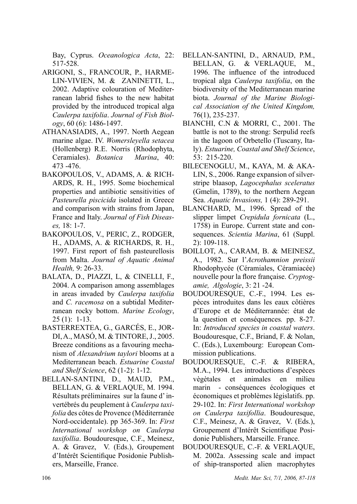Bay, Cyprus. *Oceanologica Acta*, 22: 517-528.

- Arigoni, S., Francour, P., Harmelin-Vivien, M. & Zaninetti, L., 2002. Adaptive colouration of Mediterranean labrid fishes to the new habitat provided by the introduced tropical alga *Caulerpa taxifolia*. *Journal of Fish Biology*, 60 (6): 1486-1497.
- ATHANASIADIS, A., 1997. North Aegean marine algae. IV. *Womersleyella setacea* (Hollenberg) R.E. Norris (Rhodophyta, Ceramiales). *Botanica Marina*, 40: 473 -476.
- BAKOPOULOS, V., ADAMS, A. & RICH-ARDS, R. H., 1995. Some biochemical properties and antibiotic sensitivities of *Pasteurella piscicida* isolated in Greece and comparison with strains from Japan, France and Italy. *Journal of Fish Diseases,* 18: 1-7.
- BAKOPOULOS, V., PERIC, Z., RODGER, H., ADAMS, A. & RICHARDS, R. H., 1997. First report of fish pasteurellosis from Malta. *Journal of Aquatic Animal Health,* 9: 26-33.
- Balata, D., Piazzi, L, & Cinelli, F., 2004. A comparison among assemblages in areas invaded by *Caulerpa taxifolia* and *C. racemosa* on a subtidal Mediterranean rocky bottom. *Marine Ecology*, 25 (1): 1-13.
- BASTERREXTEA, G., GarcÉs, E., JOR-DI, A., MASÓ, M. & TINTORE, J., 2005. Breeze conditions as a favouring mechanism of *Alexandrium taylori* blooms at a Mediterranean beach. *Estuarine Coastal and Shelf Science*, 62 (1-2): 1-12.
- bellan-Santini, D., maud, P.M., bellan, G. & verlaque, m. 1994. Résultats préliminaires sur la faune d' invertébrés du peuplement à *Caulerpa taxifolia* des côtes de Provence (Méditerranée Nord-occidentale). pp 365-369. In: *First International workshop on Caulerpa taxifollia*. Boudouresque, C.F., Meinesz, A. & Gravez, V. (Eds.), Groupement d'Intérêt Scientifique Posidonie Publishers, Marseille, France.
- Bellan-Santini, D., Arnaud, P.M., Bellan, G. & Verlaque, M., 1996. The influence of the introduced tropical alga *Caulerpa taxifolia*, on the biodiversity of the Mediterranean marine biota. *Journal of the Marine Biological Association of the United Kingdom,*  76(1), 235-237.
- BIANCHI, C.N & MORRI, C., 2001. The battle is not to the strong: Serpulid reefs in the lagoon of Orbetello (Tuscany, Italy). *Estuarine, Coastal and Shelf Science*, 53: 215-220.
- BILECENOGLU, M., KAYA, M. & AKA-LIN, S., 2006. Range expansion of silverstripe blaasop, *Lagocephalus sceleratus*  (Gmelin, 1789), to the northern Aegean Sea. *Aquatic Invasions,* 1 (4): 289-291.
- BLANCHARD, M., 1996. Spread of the slipper limpet *Crepidula fornicata* (L., 1758) in Europe. Current state and consequences. *Scientia Marina*, 61 (Suppl. 2): 109-118.
- BOILLOT, A., CARAM, B. & MEINESZ, A., 1982. Sur l'*Acrothamnion preissii* Rhodophycée (Céramiales, Céramiacée) nouvelle pour la flore française. *Cryptogamie, Algologie*, 3: 21 -24.
- Boudouresque, C.-F., 1994. Les espèces introduites dans les eaux côtières d'Europe et de Méditerrannée: état de la question et conséquences*.* pp. 8-27. In: *Introduced species in coastal waters*. Boudouresque, C.F., Briand, F. & Nolan, C. (Eds.), Luxembourg: European Commission publications.
- Boudouresque, C.-F. & Ribera, M.A., 1994. Les introductions d'espèces vègètales et animales en milieu marin - conséquences écologiques et économiques et problèmes législatifs. pp. 29-102. In: *First International workshop on Caulerpa taxifollia*. Boudouresque, C.F., Meinesz, A. & Gravez, V. (Eds.), Groupement d'Intérêt Scientifique Posidonie Publishers, Marseille. France.
- Boudouresque, C.-F. & Verlaque, M. 2002a. Assessing scale and impact of ship-transported alien macrophytes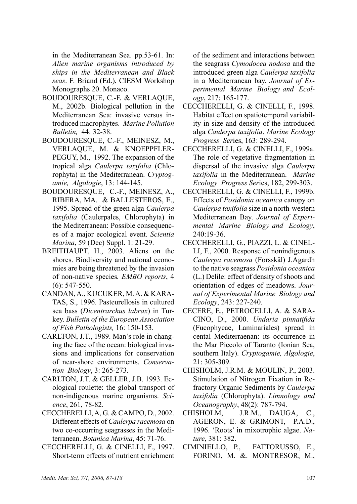in the Mediterranean Sea. pp.53-61. In: *Alien marine organisms introduced by ships in the Mediterranean and Black seas*. F. Briand (Ed.), CIESM Workshop Monographs 20. Monaco.

- Boudouresque, C.-F. & Verlaque, M., 2002b. Biological pollution in the Mediterranean Sea: invasive versus introduced macrophytes. *Marine Pollution Bulletin,* 44: 32-38.
- Boudouresque, C.-F., Meinesz, M., Verlaque, M. & Knoeppfler-PEGUY, M., 1992. The expansion of the tropical alga *Caulerpa taxifolia* (Chlorophyta) in the Mediterranean. *Cryptogamie, Algologie*, 13: 144-145.
- Boudouresque, C.-F., Meinesz, A., Ribera, MA. & Ballesteros, E., 1995. Spread of the green alga *Caulerpa taxifolia* (Caulerpales, Chlorophyta) in the Mediterranean: Possible consequences of a major ecological event. *Scientia Marina*, 59 (Dec) Suppl. 1: 21-29.
- BREITHAUPT, H., 2003. Aliens on the shores. Biodiversity and national economies are being threatened by the invasion of non-native species*. EMBO reports*, 4 (6): 547-550.
- CANDAN, A., KUCUKER, M. A. & KARA-TAS, S., 1996. Pasteurellosis in cultured sea bass (*Dicentrarchus labrax*) in Turkey. *Bulletin of the European Association of Fish Pathologists,* 16: 150-153.
- CARLTON, J.T., 1989. Man's role in changing the face of the ocean: biological invasions and implications for conservation of near-shore environments. *Conservation Biology*, 3: 265-273.
- Carlton, J.T. & Geller, J.B. 1993. Ecological roulette: the global transport of non-indigenous marine organisms. *Science*, 261, 78-82.
- Ceccherelli, a, G. & Campo, D., 2002. Different effects of *Caulerpa racemosa* on two co-occurring seagrasses in the Mediterranean. *Botanica Marina*, 45: 71-76.
- Ceccherelli, G. & Cinelli, F., 1997. Short-term effects of nutrient enrichment

of the sediment and interactions between the seagrass *Cymodocea nodosa* and the introduced green alga *Caulerpa taxifolia* in a Mediterranean bay. *Journal of Experimental Marine Biology and Ecology*, 217: 165-177.

- Ceccherelli, G. & Cinelli, F., 1998. Habitat effect on spatiotemporal variability in size and density of the introduced alga *Caulerpa taxifolia*. *Marine Ecology Progress Ser*ies, 163: 289-294.
- Ceccherelli, G. & Cinelli, F., 1999a. The role of vegetative fragmentation in dispersal of the invasive alga *Caulerpa taxifolia* in the Mediterranean. *Marine Ecology Progress Ser*ies, 182, 299-303.
- Ceccherelli, G. & Cinelli, F., 1999b. Effects of *Posidonia oceanica* canopy on *Caulerpa taxifolia* size in a north-western Mediterranean Bay. *Journal of Experimental Marine Biology and Ecology*, 240:19-36.
- Ceccherelli, G., Piazzi, L. & Cinelli, F., 2000. Response of nonindigenous *Caulerpa racemosa* (Forsskål) J.Agardh to the native seagrass *Posidonia oceanica* (L.) Delile: effect of density of shoots and orientation of edges of meadows. *Journal of Experimental Marine Biology and Ecology*, 243: 227-240.
- CECERE, E., PETROCELLI, A. & SARA-CINO, D., 2000. *Undaria pinnatifida* (Fucophycae, Laminariales) spread in cental Mediterraenan: its occurrence in the Mar Piccolo of Taranto (Ionian Sea, southern Italy). *Cryptogamie, Algologie*, 21: 305-309.
- CHISHOLM, J.R.M. & MOULIN, P., 2003. Stimulation of Nitrogen Fixation in Refractory Organic Sediments by *Caulerpa taxifolia* (Chlorophyta). *Limnology and Oceanography*, 48(2): 787-794.
- Chisholm, J.R.M., Dauga, C., Ageron, E. & Grimont, P.A.D., 1996. 'Roots' in mixotrophic algae. *Nature*, 381: 382.
- Ciminiello, P., Fattorusso, E., FORINO, M. &. MONTRESOR, M.,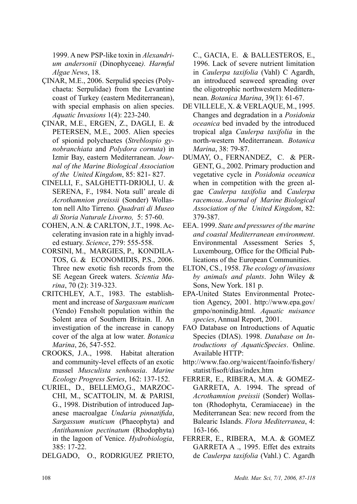1999. A new PSP-like toxin in *Alexandrium andersonii* (Dinophyceae*). Harmful Algae News*, 18.

- ÇINAR, M.E., 2006. Serpulid species (Polychaeta: Serpulidae) from the Levantine coast of Turkey (eastern Mediterranean), with special emphasis on alien species. *Aquatic Invasions* 1(4): 223-240.
- Çinar, M.E., ERGEN, Z., DAGLI, E. & PETERSEN, M.E., 2005. Alien species of spionid polychaetes (*Streblospio gynobranchiata* and *Polydora cornuta*) in Izmir Bay, eastern Mediterranean. *Journal of the Marine Biological Association of the United Kingdom*, 85: 821- 827.
- Cinelli, F., Salghetti-Drioli, U. & SERENA, F., 1984. Nota sull'areale di *Acrothamnion preissii* (Sonder) Wollaston nell Alto Tirreno*. Quadrati di Museo di Storia Naturale Livorno,* 5: 57-60.
- CoheN, A.N. & Carlton, J.T., 1998. Accelerating invasion rate in a highly invaded estuary. *Science*, 279: 555-558.
- CORSINI, M., MARGIES, P., KONDILA-TOS, G. & ECONOMIDIS, P.S., 2006. Three new exotic fish records from the SE Aegean Greek waters. *Scientia Marina*, 70 (2): 319-323.
- CRITCHLEY, A.T., 1983. The establishment and increase of *Sargassum muticum* (Yendo) Fensholt population within the Solent area of Southern Britain. II. An investigation of the increase in canopy cover of the alga at low water. *Botanica Marina*, 26, 547-552.
- CROOKS, J.A., 1998. Habitat alteration and community-level effects of an exotic mussel *Musculista senhousia*. *Marine Ecology Progress Series*, 162: 137-152.
- CURIEL, D., BELLEMO,G., MARZOC-CHI, M., SCATTOLIN, M. & PARISI, G., 1998. Distribution of introduced Japanese macroalgae *Undaria pinnatifida*, *Sargassum muticum* (Phaeophyta) and *Antithamnion pectinatum* (Rhodophyta) in the lagoon of Venice. *Hydrobiologia*, 385: 17-22.
- Delgado, O., Rodriguez Prieto,

C., Gacia, E. & Ballesteros, E., 1996. Lack of severe nutrient limitation in *Caulerpa taxifolia* (Vahl) C Agardh, an introduced seaweed spreading over the oligotrophic northwestern Meditteranean. *Botanica Marina*, 39(1): 61-67.

- de Villele, X. & Verlaque, M., 1995. Changes and degradation in a *Posidonia oceanica* bed invaded by the introduced tropical alga *Caulerpa taxifolia* in the north-western Mediterranean. *Botanica Marina*, 38: 79-87.
- Dumay, O., Fernandez, C. & Per-GENT, G., 2002. Primary production and vegetative cycle in *Posidonia oceanica* when in competition with the green algae *Caulerpa taxifolia* and *Caulerpa racemosa*. *Journal of Marine Biological Association of the United Kingdom*, 82: 379-387.
- EEA. 1999. *State and pressures of the marine and coastal Mediterranean environment*. Environmental Assessment Series 5, Luxembourg, Office for the Official Publications of the European Communities.
- ELTON, CS., 1958. *The ecology of invasions by animals and plants*. John Wiley & Sons, New York. 181 p.
- EPA-United States Environmental Protection Agency, 2001. http://www.epa.gov/ gmpo/nonindig.html. *Aquatic nuisance species*, Annual Report, 2001.
- FAO Database on Introductions of Aquatic Species (DIAS). 1998. *Database on Introductions of AquaticSpecies*. Online. Available HTTP:
- http://www.fao.org/waicent/faoinfo/fishery/ statist/fisoft/dias/index.htm
- FERRER, E., RIBERA, M.A. & GOMEZ-GARRETA, A. 1994. The spread of *Acrothamnion preissii* (Sonder) Wollaston (Rhodophyta, Ceramiaceae) in the Mediterranean Sea: new record from the Balearic Islands. *Flora Mediterranea*, 4: 163-166.
- FerRer, E., Ribera, M.A. & Gomez GARRETA A ., 1995. Effet des extraits de *Caulerpa taxifolia* (Vahl.) C. Agardh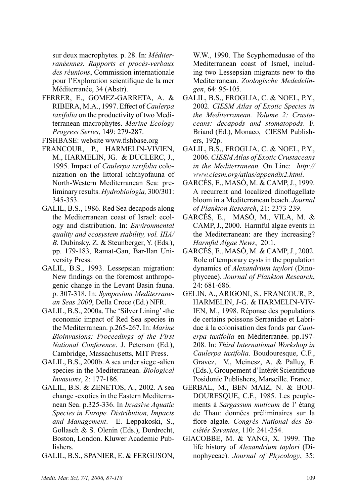sur deux macrophytes. p. 28. In: *Méditerranéennes. Rapports et procès-verbaux des réunions*, Commission internationale pour l'Exploration scientifique de la mer Méditerranée, 34 (Abstr).

- Ferrer, E., Gomez-Garreta, A. & Ribera, M.A., 1997. Effect of *Caulerpa taxifolia* on the productivity of two Mediterranean macrophytes. *Marine Ecology Progress Series*, 149: 279-287.
- FISHBASE: website www.fishbase.org
- Francour, P., Harmelin-Vivien, M., Harmelin, JG. & Duclerc, J., 1995. Impact of *Caulerpa taxifolia* colonization on the littoral ichthyofauna of North-Western Mediterranean Sea: preliminary results. *Hydrobiologia,* 300/301: 345-353.
- GALIL, B.S., 1986. Red Sea decapods along the Mediterranean coast of Israel: ecology and distribution. In: *Environmental quality and ecosystem stability, vol. IIIA/ B.* Dubinsky, Z. & Steunberger, Y. (Eds.), pp. 179-183, Ramat-Gan, Bar-Ilan University Press.
- GALIL, B.S., 1993. Lessepsian migration: New findings on the foremost anthropogenic change in the Levant Basin fauna. p. 307-318. In: *Symposium Mediterranean Seas 2000*, Della Croce (Ed.) NFR.
- GALIL, B.S., 2000a. The 'Silver Lining' -the economic impact of Red Sea species in the Mediterranean. p.265-267. In: *Marine Bioinvasions: Proceedings of the First National Conference*. J. Peterson (Ed.), Cambridge, Massachusetts, MIT Press.
- GALIL, B.S., 2000b. A sea under siege -alien species in the Mediterranean. *Biological Invasions*, 2: 177-186.
- GALIL, B.S. & ZENETOS, A., 2002. A sea change -exotics in the Eastern Mediterranean Sea. p.325-336. In *Invasive Aquatic Species in Europe. Distribution, Impacts and Management*. E. Leppakoski, S., Gollasch & S. Olenin (Eds.), Dordrecht, Boston, London. Kluwer Academic Publishers.
- GALIL, B.S., SPANIER, E. & FERGUSON,

W.W., 1990. The Scyphomedusae of the Mediterranean coast of Israel, including two Lessepsian migrants new to the Mediterranean. *Zoologische Mededelingen*, 64: 95-105.

- Galil, B.S., Froglia, C. & Noel, P.Y., 2002. *CIESM Atlas of Exotic Species in the Mediterranean. Volume 2: Crustaceans: decapods and stomatopods*. F. Briand (Ed.), Monaco, CIESM Publishers, 192p.
- Galil, B.S., Froglia, C. & Noel, P.Y., 2006. *CIESM Atlas of Exotic Crustaceans in the Mediterranean.* On Line: *http:// www.ciesm.org/atlas/appendix2.html*.
- Garcés, E., MasÓ, M. & Camp, J., 1999. A recurrent and localized dinoflagellate bloom in a Mediterranean beach. *Journal of Plankton Research*, 21: 2373-239.
- GARCÉS, E., MASÓ, M., VILA, M.  $&$ CAMP, J., 2000. Harmful algae events in the Mediterranean: are they increasing? *Harmful Algae News*, 20:1.
- GARCèS, E., MASÓ, M. & CAMP, J., 2002. Role of temporary cysts in the population dynamics of *Alexandrium taylori* (Dinophyceae). *Journal of Plankton Research*, 24: 681-686.
- GELIN, A., ARIGONI, S., FRANCOUR, P., HARMELIN, J-G. & HARMELIN-VIV-IEN, M., 1998. Réponse des populations de certains poissons Serranidae et Labridae à la colonisation des fonds par *Caulerpa taxifolia* en Méditerranée. pp.197- 208. In: *Third International Workshop in Caulerpa taxifolia*. Boudouresque, C.F., Gravez, V., Meinesz, A. & Palluy, F. (Eds.), Groupement d'Intérêt Scientifique Posidonie Publishers, Marseille. France.
- GERBAL, M., BEN MAIZ, N. & BOU-DOURESQUE, C.F., 1985. Les peuplements à *Sargassum muticum* de l' étang de Thau: données préliminaires sur la flore algale. *Congrés National des Sociétés Savantes*, 110: 241-254.
- Giacobbe, M. & Yang, X. 1999. The life history of *Alexandrium taylori* (Dinophyceae). *Journal of Phycology*, 35: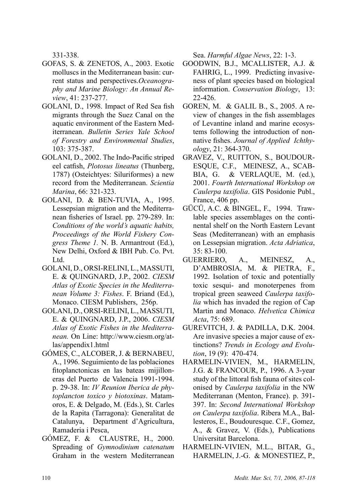331-338.

- GOFAS, S. & ZENETOS, A., 2003. Exotic molluscs in the Mediterranean basin: current status and perspectives.*Oceanography and Marine Biology: An Annual Review*, 41: 237-277.
- GOLANI, D., 1998. Impact of Red Sea fish migrants through the Suez Canal on the aquatic environment of the Eastern Mediterranean. *Bulletin Series Yale School of Forestry and Environmental Studies*, 103: 375-387.
- GOLANI, D., 2002. The Indo-Pacific striped eel catfish, *Plotosus lineatus* (Thunberg, 1787) (Osteichtyes: Siluriformes) a new record from the Mediterranean. *Scientia Marina*, 66: 321-323.
- GOLANI, D. & Ben-Tuvia, A., 1995. Lessepsian migration and the Mediterranean fisheries of Israel. pp. 279-289. In: *Conditions of the world's aquatic habits, Proceedings of the World Fishery Congress Theme 1.* N. B. Armantrout (Ed.), New Delhi, Oxford & IBH Pub. Co. Pvt. Ltd.
- Golani, D., Orsi-Relini, L., Massuti, E. & Quingnard, J.P., 2002. *CIESM Atlas of Exotic Species in the Mediterranean Volume 3: Fishes*. F. Briand (Ed.), Monaco. CIESM Publishers, 256p.
- Golani, D., Orsi-Relini, L., Massuti, E. & Quingnard, J.P., 2006. *CIESM Atlas of Exotic Fishes in the Mediterranean.* On Line: http://www.ciesm.org/atlas/appendix1.html
- GÓmeS, C., ALCOBER, J. & BERNABEU, A., 1996. Seguimiento de las poblaciones fitoplanctonicas en las bateas mijilloneras del Puerto de Valencia 1991-1994. p. 29-38. In: *IV Reunion Iberica de phytoplancton toxico y biotoxinas*. Matamoros, E. & Delgado, M. (Eds.), St. Carles de la Rapita (Tarragona): Generalitat de Catalunya, Department d'Agricultura, Ramaderia i Pesca,
- GÓmez, F. & Claustre, H., 2000. Spreading of *Gymnodinium catenatum* Graham in the western Mediterranean

Sea. *Harmful Algae News*, 22: 1-3.

- Goodwin, B.J., McAllister, A.J. & FAHRIG, L., 1999. Predicting invasiveness of plant species based on biological information. *Conservation Biology*, 13: 22-426.
- GOREN, M. & GALIL B., S., 2005. A review of changes in the fish assemblages of Levantine inland and marine ecosystems following the introduction of nonnative fishes. *Journal of Applied Ichthyology*, 21: 364-370.
- Gravez, V., Ruitton, S., Boudouresque, C.F., Meinesz, A., Scabbia, G. & Verlaque, M. (ed.), 2001. *Fourth International Workshop on Caulerpa taxifolia*. GIS Posidonie Publ., France, 406 pp.
- GÜcÜ, A.C. & Bingel, F., 1994. Trawlable species assemblages on the continental shelf on the North Eastern Levant Seas (Mediterranean) with an emphasis on Lessepsian migration. *Acta Adriatica*, 35: 83-100.
- GUERRIERO, A., MEINESZ, A., D'AMBROSIA, M. & PIETRA, F., 1992. Isolation of toxic and potentially toxic sesqui- and monoterpenes from tropical green seaweed *Caulerpa taxifolia* which has invaded the region of Cap Martin and Monaco. *Helvetica Chimica Acta*, 75: 689.
- Gurevitch, J. & Padilla, D.K. 2004. Are invasive species a major cause of extinctions? *Trends in Ecology and Evolution*, 19 (9): 470-474.
- HARMELIN-VIVIEN, M., HARMELIN, J.G. & FRANCOUR, P., 1996. A 3-year study of the littoral fish fauna of sites colonised by *Caulerpa taxifolia* in the NW Mediterranan (Menton, France). p. 391- 397. In: *Second International Workshop on Caulerpa taxifolia*. Ribera M.A., Ballesteros, E., Boudouresque. C.F., Gomez, A., & Gravez, V. (Eds.), Publications Universitat Barcelona.
- HARMELIN-VIVIEN, M.L., BITAR, G., HARMELIN, J.-G. & MONESTIEZ, P.,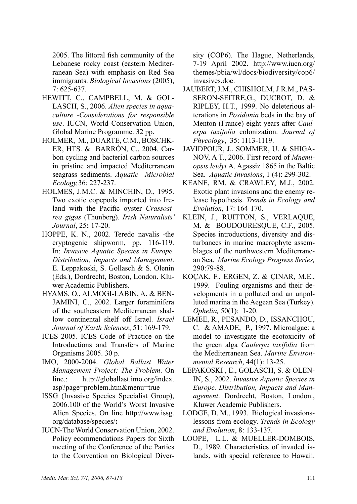2005. The littoral fish community of the Lebanese rocky coast (eastern Mediterranean Sea) with emphasis on Red Sea immigrants. *Biological Invasions* (2005), 7: 625-637.

- HEWITT, C., CAMPBELL, M. & GOL-LASCH, S., 2006. *Alien species in aquaculture -Considerations for responsible use*. IUCN, World Conservation Union, Global Marine Programme. 32 pp.
- Holmer, M., Duarte, C.M., Boschker, HTS. & BarrÓn, C., 2004. Carbon cycling and bacterial carbon sources in pristine and impacted Mediterranean seagrass sediments. *Aquatic Microbial Ecology,*36: 227-237.
- HOLMES, J.M.C. & MINCHIN, D., 1995. Two exotic copepods imported into Ireland with the Pacific oyster *Crassostrea gigas* (Thunberg). *Irish Naturalists' Journal*, 25**:** 17-20.
- HOPPE, K. N., 2002. Teredo navalis -the cryptogenic shipworm, pp. 116-119. In: *Invasive Aquatic Species in Europe. Distribution, Impacts and Management*. E. Leppakoski, S. Gollasch & S. Olenin (Eds.), Dordrecht, Boston, London. Kluwer Academic Publishers.
- HYAMS, O., ALMOGI-LABIN, A. & BEN-JAMINI, C., 2002. Larger foraminifera of the southeastern Mediterranean shallow continental shelf off Israel. *Israel Journal of Earth Sciences*, 51: 169-179.
- ICES 2005. ICES Code of Practice on the Introductions and Transfers of Marine Organisms 2005. 30 p.
- IMO, 2000-2004. *Global Ballast Water Management Project: The Problem*. On line.: http://globallast.imo.org/index. asp?page=problem.htm&menu=true
- ISSG (Invasive Species Specialist Group), 2006.100 of the World's Worst Invasive Alien Species. On line http://www.issg. org/database/species/**:**
- IUCN-The World Conservation Union, 2002. Policy ecommendations Papers for Sixth meeting of the Conference of the Parties to the Convention on Biological Diver-

sity (COP6). The Hague, Netherlands, 7-19 April 2002. http://www.iucn.org/ themes/pbia/wl/docs/biodiversity/cop6/ invasives doc.

- Jaubert, J.M., Chisholm, J.R.M., Passeron-Seitre,G., Ducrot, D. & Ripley, H.T., 1999. No deleterious alterations in *Posidonia* beds in the bay of Menton (France) eight years after *Caulerpa taxifolia* colonization. *Journal of Phycology*, 35: 1113-1119.
- JAVIDPOUR, J., SOMMER, U. & SHIGA-NOV, A T., 2006. First record of *Mnemiopsis leidyi* A. Agassiz 1865 in the Baltic Sea. *Aquatic Invasions*, 1 (4): 299-302.
- Keane, RM. & Crawley, M.J., 2002. Exotic plant invasions and the enemy release hypothesis. *Trends in Ecology and Evolution*, 17: 164-170.
- KLEIN, J., Ruitton, S., Verlaque, M. & Boudouresque, C.F., 2005. Species introductions, diversity and disturbances in marine macrophyte assemblages of the northwestern Mediterranean Sea. *Marine Ecology Progress Series,*  290:79-88.
- KoÇak, F., Ergen, Z. & Çinar, M.E., 1999. Fouling organisms and their developments in a polluted and an unpolluted marina in the Aegean Sea (Turkey). *Ophelia,* 50(1): 1-20.
- Lemee, R., Pesando, D., Issanchou, C. & AMADE, P., 1997. Microalgae: a model to investigate the ecotoxicity of the green alga *Caulerpa taxifolia* from the Mediterranean Sea. *Marine Environmental Research*, 44(1): 13-25.
- LEPAKOSKI , E., GOLASCH, S. & OLEN-IN, S., 2002. *Invasive Aquatic Species in Europe. Distribution, Impacts and Management*. Dordrecht, Boston, London., Kluwer Academic Publishers.
- LODGE, D. M., 1993. Biological invasionslessons from ecology. *Trends in Ecology and Evolution*, 8: 133-137.
- Loope, L.L. & Mueller-Dombois, D., 1989. Characteristics of invaded islands, with special reference to Hawaii.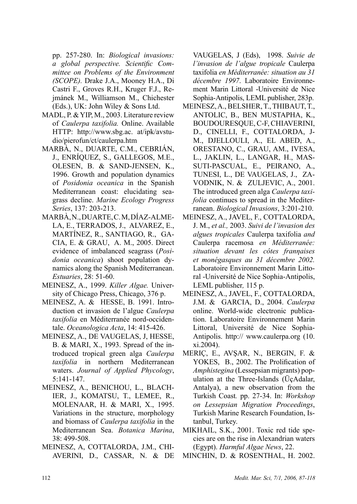pp. 257-280. In: *Biological invasions: a global perspective. Scientific Committee on Problems of the Environment (SCOPE).* Drake J.A., Mooney H.A., Di Castri F., Groves R.H., Kruger F.J., Rejmánek M., Williamson M., Chichester (Eds.), UK: John Wiley & Sons Ltd.

- MADL, P. & YIP, M., 2003. Literature review of *Caulerpa taxifolia.* Online. Available HTTP: http://www.sbg.ac. at/ipk/avstudio/pierofun/ct/caulerpa.htm
- Marbà, N., Duarte, C.M., Cebrián, J., EnrÍquez, S., Gallegos, M.E., Olesen, B. & Sand-Jensen, K., 1996. Growth and population dynamics of *Posidonia oceanica* in the Spanish Mediterranean coast: elucidating seagrass decline. *Marine Ecology Progress Series*, 137: 203-213.
- Marbà, N., Duarte, C. M, DÍaz-Almela, E., Terrados, J., Αlvarez, E., MartÍnez, R., Santiago, R., Gacia, E. & Grau, A. M., 2005. Direct evidence of imbalanced seagrass (*Posidonia oceanica*) shoot population dynamics along the Spanish Mediterranean. *Estuaries*, 28: 51-60.
- Meinesz, A., 1999. *Killer Algae.* University of Chicago Press, Chicago, 376 p.
- Meinesz, A. & Hesse, Β. 1991. Introduction et invasion de l'algue *Caulerpa taxifolia* en Méditerranée nord-occidentale. *Oceanologica Acta*, 14: 415-426.
- Meinesz, A., de Vaugelas, J, Hesse, B. & MARI, X., 1993. Spread of the introduced tropical green alga *Caulerpa taxifolia* in northern Mediterranean waters. *Journal of Applied Phycology*, 5:141-147.
- Meinesz, A., Benichou, L., Blach-IER, J., KOMATSU, T., LEMEE, R., Molenaar, H. & Mari, X., 1995. Variations in the structure, morphology and biomass of *Caulerpa taxifolia* in the Mediterranean Sea. *Botanica Marina*, 38: 499-508.
- MEINESZ, A, COTTALORDA, J.M., CHI-AVERINI, D., CASSAR, N. & DE

VAUGELAS, J (eds), 1998. *Suivie de l'invasion de l'algue tropicale* Caulerpa taxifolia *en Méditerranée: situation au 31 décembre 1997*. Laboratoire Environnement Marin Littoral -Université de Nice Sophia-Antipolis, LEML publisher, 283p.

- Meinesz, A., Belsher, T., Thibaut, T., Antolic, B., Ben Mustapha, K., Boudouresque, C-F, Chiaverini, D., Cinelli, F., Cottalorda, J-M., Djellouli, A., El Abed, A., Orestano, C., Grau, AM., Ivesa, L., Jaklin, L., Langar, H., Massuti-Pascual, E., Peirano, A., Tunesi, L., de Vaugelas, J., Zavodnik, N. & Zuljevic, A., 2001. The introduced green alga *Caulerpa taxifolia* continues to spread in the Mediterranean. *Biological Invasions*, 3:201-210.
- Meinesz, A., Javel, F., Cottalorda, J. M., *et al.,* 2003. *Suivi de l'invasion des algues tropicales* Caulerpa taxifolia *and*  Caulerpa racemosa *en Méditerranée: situation devant les côtes franηaises et monégasques au 31 décembre 2002.*  Laboratoire Environnement Marin Littoral -Université de Nice Sophia-Antipolis, LEML publisher*,* 115 p.
- Meinesz, A., Javel, F., Cottalorda, J.M. & Garcia, D., 2004. *Caulerpa* online. World-wide electronic publication. Laboratoire Environnement Marin Littoral, Université de Nice Sophia-Antipolis. http:// www.caulerpa.org (10. xi.2004).
- MERIÇ, E., AVŞAR, N., BERGIN, F. & YOKES, B., 2002. The Prolification of *Amphistegina* (Lessepsian migrants) population at the Three-Islands (ÜçAdalar, Antalya), a new observation from the Turkish Coast*.* pp. 27-34. In: *Workshop on Lessepsian Migration Proceedings*, Turkish Marine Research Foundation, Istanbul, Turkey.
- MIKHAIL, S.K., 2001. Toxic red tide species are on the rise in Alexandrian waters (Egypt). *Harmful Algae News*, 22.
- Minchin, D. & Rosenthal, H. 2002.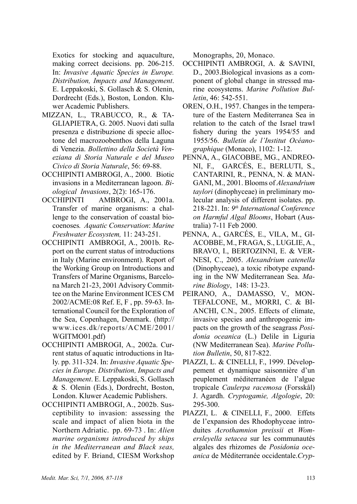Exotics for stocking and aquaculture, making correct decisions. pp. 206-215. In: *Invasive Aquatic Species in Europe. Distribution, Impacts and Management*. E. Leppakoski, S. Gollasch & S. Olenin, Dordrecht (Eds.), Boston, London. Kluwer Academic Publishers.

- MIZZAN, L., TRABUCCO, R., & TA-GLIAPIETRA, G. 2005. Nuovi dati sulla presenza e distribuzione di specie alloctone del macrozoobenthos della Laguna di Venezia. *Bollettino della Società Veneziana di Storia Naturale e del Museo Civico di Storia Naturale*, 56: 69-88.
- Occhipinti Ambrogi, A., 2000. Biotic invasions in a Mediterranean lagoon. *Biological Invasions*, 2(2): 165-176.
- OCCHIPINTI AMBROGI, A., 2001a. Transfer of marine organisms: a challenge to the conservation of coastal biocoenoses*. Aquatic Conservation*: *Marine Freshwater Ecosystem,* 11: 243-251.
- OCCHIPINTI AMBROGI, A., 2001b. Report on the current status of introductions in Italy (Marine environment). Report of the Working Group on Introductions and Transfers of Marine Organisms, Barcelona March 21-23, 2001 Advisory Committee on the Marine Environment ICES CM 2002/ACME:08 Ref. E, F , pp. 59-63. International Council for the Exploration of the Sea, Copenhagen, Denmark. (http:// www.ices.dk/reports/ACME/2001/ WGITMO01.pdf)
- Occhipinti Ambrogi, A., 2002a. Current status of aquatic introductions in Italy. pp. 311-324. In: *Invasive Aquatic Species in Europe. Distribution, Impacts and Management*. E. Leppakoski, S. Gollasch & S. Olenin (Eds.), Dordrecht, Boston, London. Kluwer Academic Publishers.
- Occhipinti Ambrogi, A., 2002b. Susceptibility to invasion: assessing the scale and impact of alien biota in the Northern Adriatic. pp. 69-73 . In: *Alien marine organisms introduced by ships in the Mediterranean and Black seas,* edited by F. Briand, CIESM Workshop

Monographs, 20, Monaco.

- Occhipinti Ambrogi, A. & Savini, D., 2003.Biological invasions as a component of global change in stressed marine ecosystems. *Marine Pollution Bulletin*, 46: 542-551.
- OREN, O.H., 1957. Changes in the temperature of the Eastern Mediterranea Sea in relation to the catch of the Israel trawl fishery during the years 1954/55 and 1955/56. *Bulletin de l'Institut Océanographique* (Monaco), 1102: 1-12.
- PENNA, A., GIACOBBE, MG., ANDREOni, F., GarcÉs, E., Berluti, S., Cantarini, R., Penna, N. & Mangani, M., 2001. Blooms of *Alexandrium taylori* (dinophyceae) in preliminary molecular analysis of different isolates. pp. 218-221. In: *9th International Conference on Harmful Algal Blooms*, Hobart (Australia) 7-11 Feb 2000.
- PENNA, A., GARCÉS, E., VILA, M., GIacobbe, M., Fraga, S., Luglie, A., Bravo, I., Bertozinni, E. & Vernesi, C., 2005. *Alexandrium catenella* (Dinophyceae), a toxic ribotype expanding in the NW Mediterranean Sea. *Marine Biology*, 148: 13-23.
- PEIRANO, A., DAMASSO, V., MONtefalcone, M., Morri, C. & Bi-ANCHI, C.N., 2005. Effects of climate, invasive species and anthropogenic impacts on the growth of the seagrass *Posidonia oceanica* (L.) Delile in Liguria (NW Mediterranean Sea). *Marine Pollution Bulletin*, 50, 817-822.
- Piazzi, L. & Cinelli, F., 1999. Développement et dynamique saisonnière d'un peuplement méditerranéen de l'algue tropicale *Caulerpa racemosa* (Forsskål) J. Agardh. *Cryptogamie, Algologie*, 20: 295-300.
- PIAZZI, L. & CINELLI, F., 2000. Effets de l'expansion des Rhodophyceae introduites *Acrothamnion preissii* et *Womersleyella setacea* sur les communautés algales des rhizomes de *Posidonia oceanica* de Méditerranée occidentale.*Cryp-*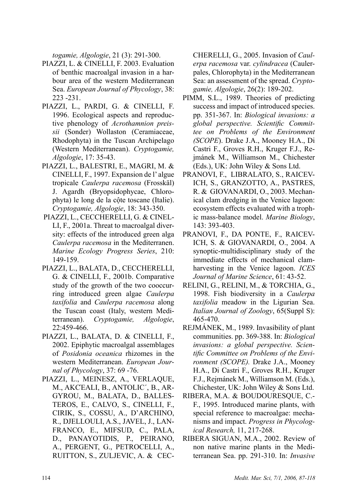*togamie, Algologie*, 21 (3): 291-300.

- PIAZZI, L. & CINELLI, F. 2003. Evaluation of benthic macroalgal invasion in a harbour area of the western Mediterranean Sea. *European Journal of Phycology*, 38: 223 -231.
- PIAZZI, L., PARDI, G. & CINELLI, F. 1996. Ecological aspects and reproductive phenology of *Acrothamnion preissii* (Sonder) Wollaston (Ceramiaceae, Rhodophyta) in the Tuscan Archipelago (Western Mediterranean). *Cryptogamie, Algologie*, 17: 35-43.
- PIAZZI, L., BALESTRI, E., MAGRI, M. & CINELLI, F., 1997. Expansion de l' algue tropicale *Caulerpa racemosa* (Frosskäl) J. Agardh (Bryopsidophycae, Chlorophyta) le long de la cộte toscane (Italie). *Cryptogamie, Algologie*, 18: 343-350.
- Piazzi, L., Ceccherelli, G. & Cinel-LI, F., 2001a. Threat to macroalgal diversity: effects of the introduced green alga *Caulerpa racemosa* in the Mediterranen. *Marine Ecology Progress Series*, 210: 149-159.
- Piazzi, L., Balata, D., Ceccherelli, G. & Cinelli, F., 2001b. Comparative study of the growth of the two cooccurring introduced green algae *Caulerpa taxifolia* and *Caulerpa racemosa* along the Tuscan coast (Italy, western Mediterranean). *Cryptogamie, Algologie*, 22:459-466.
- PIAZZI, L., BALATA, D. & CINELLI, F., 2002. Epiphytic macroalgal assemblages of *Posidonia oceanica* rhizomes in the western Mediterranean. *European Journal of Phycology*, 37: 69 -76.
- Piazzi, L., Meinesz, A., Verlaque, M., AkcΈali, B., Antolic΄, B., Argyrou, M., Balata, D., Ballesteros, E., Calvo, S., Cinelli, F., Cirik, S., Cossu, A., D'Archino, R., Djellouli, A.S., Javel, J., Lanfranco, E., Mifsud, C., Pala, D., Panayotidis, P., Peirano, A., Pergent, G., Petrocelli, A., Ruitton, S., Zuljevic, A. & Cec-

CHERELLI, G., 2005. Invasion of *Caulerpa racemosa* var. *cylindracea* (Caulerpales, Chlorophyta) in the Mediterranean Sea: an assessment of the spread. *Cryptogamie, Algologie*, 26(2): 189-202.

- Pimm, S.L., 1989. Theories of predicting success and impact of introduced species. pp. 351-367. In: *Biological invasions: a global perspective. Scientific Committee on Problems of the Environment (SCOPE*). Drake J.A., Mooney H.A., Di Castri F., Groves R.H., Kruger F.J., Rejmánek M., Williamson M., Chichester (Eds.), UK: John Wiley & Sons Ltd.
- Pranovi, F., Libralato, S., Raicevich, S., Granzotto, A., Pastres, R. & GIOVANARDI, O., 2003. Mechanical clam dredging in the Venice lagoon: ecosystem effects evaluated with a trophic mass-balance model. *Marine Biology*, 143: 393-403.
- Pranovi, F., Da Ponte, F., Raicevich, S. & Giovanardi, O., 2004. A synoptic-multidisciplinary study of the immediate effects of mechanical clamharvesting in the Venice lagoon. *ICES Journal of Marine Science*, 61: 43-52.
- Relini, G., Relini, M., & Torchia, G., 1998. Fish biodiversity in a *Caulerpa taxifolia* meadow in the Ligurian Sea. *Italian Journal of Zoology*, 65(Suppl S): 465-470.
- Rejmánek, M., 1989. Invasibility of plant communities. pp. 369-388. In: *Biological invasions: a global perspective. Scientific Committee on Problems of the Environment (SCOPE).* Drake J.A., Mooney H.A., Di Castri F., Groves R.H., Kruger F.J., Rejmánek M., Williamson M. (Eds.), Chichester, UK: John Wiley & Sons Ltd.
- Ribera, M.A. & Boudouresque, C.- F., 1995. Introduced marine plants, with special reference to macroalgae: mechanisms and impact. *Progress in Phycological Research,* 11, 217-268.
- Ribera Siguan, M.A., 2002. Review of non native marine plants in the Mediterranean Sea. pp. 291-310. In: *Invasive*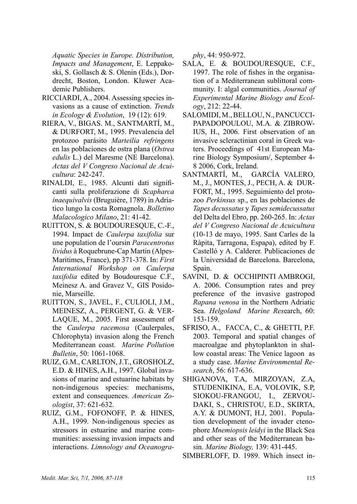*Aquatic Species in Europe. Distribution, Impacts and Management*, E. Leppakoski, S. Gollasch & S. Olenin (Eds.), Dordrecht, Boston, London. Kluwer Academic Publishers.

- Ricciardi, A., 2004. Assessing species invasions as a cause of extinction. *Trends in Ecology & Evolution*,19 (12): 619.
- RIERA, V., BIGAS. M., SANTMARTÍ, M., & DURFORT, M., 1995. Prevalencia del protozoo parásito *Marteilia refringens*  en las poblaciones de ostra plana (*Ostrea edulis* L.) del Maresme (NE Barcelona). *Actas del V Congreso Nacional de Acuicultura*: 242-247.
- Rinaldi, E., 1985. Alcunti dati significanti sulla proliferazione di *Scapharca inaequivalvis* (Bruguière, 1789) in Adriatico lungo la costa Romagnola. *Bolletino Malacologico Milano*, 21: 41-42.
- Ruitton, S. & Boudouresque, C.-F., 1994. Impact de *Caulerpa taxifolia* sur une population de l'oursin *Paracentrotus lividus* à Roquebrune-Cap Martin (Alpes-Maritimes, France), pp 371-378. In: *First International Workshop on Caulerpa taxifolia* edited by Boudouresque C.F., Meinesz A. and Gravez V.*,* GIS Posidonie, Marseille.
- RUITTON, S., JAVEL, F., CULIOLI, J.M., MEINESZ, A., PERGENT, G. & VER-LAQUE, M., 2005. First assessment of the *Caulerpa racemosa* (Caulerpales, Chlorophyta) invasion along the French Mediterranean coast. *Marine Pollution Bulletin*, 50: 1061-1068.
- Ruiz, G.M., Carlton, J.T., Grosholz, E.D. & Hines, A.H., 1997. Global invasions of marine and estuarine habitats by non-indigenous species: mechanisms, extent and consequences. *American Zoologist*, 37: 621-632.
- RUIz, G.M., Fofonoff, P. & Hines, A.H., 1999. Non-indigenous species as stressors in estuarine and marine communities: assessing invasion impacts and interactions. *Limnology and Oceanogra-*

*phy*, 44: 950-972.

- Sala, E. & Boudouresque, C.F., 1997. The role of fishes in the organisation of a Mediterranean sublittoral community. I: algal communities. *Journal of Experimental Marine Biology and Ecology*, 212: 22-44.
- SALOMIDI, M., BELLOU, N., PANCUCCI-PAPADOPOULOU, M.A. & ZIBROW-IUS, H., 2006. First observation of an invasive scleractinian coral in Greek waters. Proceedings of 41st European Marine Biology Symposium/, September 4- 8 2006, Cork, Ireland.<br>SANTMARTÍ, M., GA
- GARCÍA VALERO, M., J., MONTES, J., PECH, A. & DUR-FORT, M., 1995. Seguimiento del protozoo *Perkinsus* sp., en las poblaciones de *Tapes decussatus* y *Tapes semidecussatus* del Delta del Ebro, pp. 260-265. In: *Actas del V Congreso Nacional de Acuicultura*  (10-13 de mayo, 1995. Sant Carles de la Ràpita, Tarragona, Espaρa), edited by F. Castelló y A. Calderer. Publicaciones de la Universidad de Barcelona. Barcelona, Spain.
- SAVINI, D. & OCCHIPINTI AMBROGI, A. 2006. Consumption rates and prey preference of the invasive gastropod *Rapana venosa* in the Northern Adriatic Sea. *Helgoland Marine Res*earch, 60: 153-159.
- SFRISO, A., FACCA, C., & GHETTI, P.F. 2003. Temporal and spatial changes of macroalgae and phytoplankton in shallow coastal areas: The Venice lagoon as a study case. *Marine Environmental Research*, 56: 617-636.
- SHIGANOVA, T.A, MIRZOYAN, Z.A, STUDENIKINA, E.A, VOLOVIK, S.P, SIOKOU-FRANGOU, I., ZERVOU-DAKI, S., CHRISTOU, E.D., SKIRTA, A.Y. & DUMONT, H.J, 2001. Population development of the invader ctenophore *Mnemiopsis leidyi* in the Black Sea and other seas of the Mediterranean basin. *Marine Biology,* 139: 431-445.

SIMBERLOFF, D. 1989. Which insect in-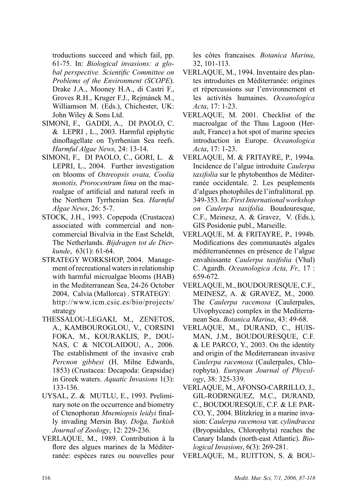troductions succeed and which fail, pp. 61-75. In: *Biological invasions: a global perspective. Scientific Committee on Problems of the Environment (SCOPE*). Drake J.A., Mooney H.A., di Castri F., Groves R.H., Kruger F.J., Rejmánek M., Williamson M. (Eds.), Chichester, UK: John Wiley & Sons Ltd.

- Simoni, F., Gaddi, A., Di Paolo, C. & Lepri , L., 2003. Harmful epiphytic dinoflagellate on Tyrrhenian Sea reefs. *Harmful Algae News,* 24: 13-14.
- Simoni, F., di Paolo, C., Gori, L. & LEPRI, L., 2004. Further investigation on blooms of *Ostreopsis ovata, Coolia monotis, Prorocentrum lima* on the macroalgae of artificial and natural reefs in the Northern Tyrrhenian Sea. *Harmful Algae News*, 26: 5-7.
- Stock, J.H., 1993. Copepoda (Crustacea) associated with commercial and noncommercial Bivalvia in the East Scheldt, The Netherlands. *Bijdragen tot de Dierkunde*, 63(1): 61-64.
- STRATEGY WORKSHOP, 2004. Management of recreational waters in relationship with harmful microalgae blooms (HAB) in the Mediterranean Sea, 24-26 October 2004, Calvia (Mallorca) . STRATEGY: http://www.icm.csic.es/bio/projects/ strategy
- THESSALOU-LEGAKI, M., ZENETOS, A., KAMBOUROGLOU, V., CORSINI FOKA, M., KOURAKLIS, P., DOU-NAS, C & NICOLAIDOU, A., 2006. The establishment of the invasive crab *Percnon gibbesi* (H. Milne Edwards, 1853) (Crustacea: Decapoda: Grapsidae) in Greek waters. *Aquatic Invasions* 1(3): 133-136.
- UYSAL, Z. & MUTLU, E., 1993. Preliminary note on the occurrence and biometry of Ctenophoran *Mnemiopsis leidyi* finally invading Mersin Bay. *Do*ğ*a, Turkish Journal of Zoology*, 12: 229-236.
- Verlaque, M., 1989. Contribution à la flore des algues marines de la Méditerranée: espèces rares ou nouvelles pour

les côtes francaises*. Botanica Marina*, 32, 101-113.

- VERLAQUE, M., 1994. Inventaire des plantes introduites en Méditerranée: origines et répercussions sur l'environnement et les activités humaines. *Oceanologica Acta*, 17: 1-23.
- VERLAQUE, M. 2001. Checklist of the macroalgae of the Thau Lagoon (Herault, France) a hot spot of marine species introduction in Europe. *Oceanologica Acta*, 17: 1-23.
- verlaque, m. & FRITAYRE, P., 1994a. Incidence de l'algue introduite *Caulerpa taxifolia* sur le phytobenthos de Méditerranée occidentale. 2. Les peuplements d'algues photophiles de l'infralittoral. pp. 349-353. In: *First International workshop on Caulerpa taxifolia.* Boudouresque, C.F., Meinesz, A. & Gravez, V. (Eds.), GIS Posidonie publ., Marseille.
- VERLAQUE, M. & FRITAYRE, P., 1994b. Modifications des communautés algales méditerranéennes en présence de l'algue envahissante *Caulerpa taxifolia* (Vhal) C. Agardh. *Oceanologica Acta, Fr.,* 17 : 659-672.
- Verlaque, M., Boudouresque, C.F., Meinesz, A. & Gravez, M., 2000. The *Caulerpa racemosa* (Caulerpales, Ulvophyceae) complex in the Mediterranean Sea. *Botanica Marina*, 43: 49-68.
- Verlaque, M., Durand, C., Huisman, J.M., Boudouresque, C.F. & Le Parco, Y., 2003. On the identity and origin of the Mediterranean invasive *Caulerpa racemosa* (Caulerpales, Chlorophyta). *European Journal of Phycology*, 38: 325-339.
- Verlaque, M., Afonso-Carrillo, J., GIL-RODRNGUEZ, M.C., DURAND, C., Boudouresque, C.F. & Le Parco, Y., 2004. Blitzkrieg in a marine invasion: *Caulerpa racemosa* var. *cylindracea* (Bryopsidales, Chlorophyta) reaches the Canary Islands (north-east Atlantic). *Biological Invasions*, 6(3): 269-281.

Verlaque, M., RUITTON, S. & BOU-